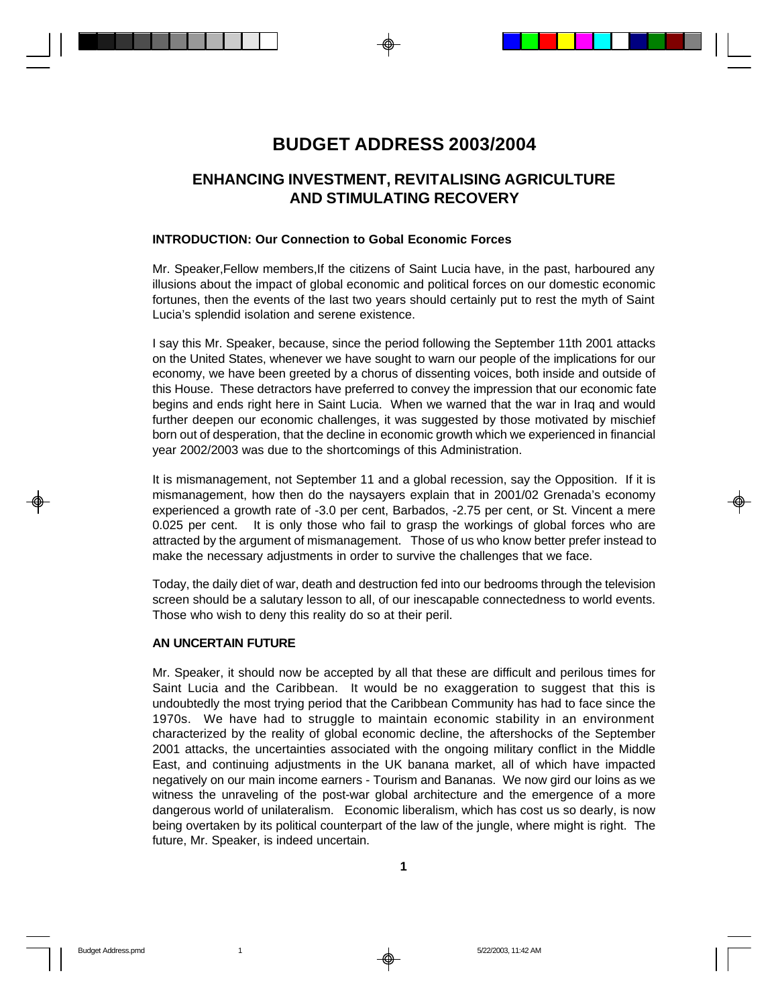# **BUDGET ADDRESS 2003/2004**

# **ENHANCING INVESTMENT, REVITALISING AGRICULTURE AND STIMULATING RECOVERY**

### **INTRODUCTION: Our Connection to Gobal Economic Forces**

Mr. Speaker,Fellow members,If the citizens of Saint Lucia have, in the past, harboured any illusions about the impact of global economic and political forces on our domestic economic fortunes, then the events of the last two years should certainly put to rest the myth of Saint Lucia's splendid isolation and serene existence.

I say this Mr. Speaker, because, since the period following the September 11th 2001 attacks on the United States, whenever we have sought to warn our people of the implications for our economy, we have been greeted by a chorus of dissenting voices, both inside and outside of this House. These detractors have preferred to convey the impression that our economic fate begins and ends right here in Saint Lucia. When we warned that the war in Iraq and would further deepen our economic challenges, it was suggested by those motivated by mischief born out of desperation, that the decline in economic growth which we experienced in financial year 2002/2003 was due to the shortcomings of this Administration.

It is mismanagement, not September 11 and a global recession, say the Opposition. If it is mismanagement, how then do the naysayers explain that in 2001/02 Grenada's economy experienced a growth rate of -3.0 per cent, Barbados, -2.75 per cent, or St. Vincent a mere 0.025 per cent. It is only those who fail to grasp the workings of global forces who are attracted by the argument of mismanagement. Those of us who know better prefer instead to make the necessary adjustments in order to survive the challenges that we face.

Today, the daily diet of war, death and destruction fed into our bedrooms through the television screen should be a salutary lesson to all, of our inescapable connectedness to world events. Those who wish to deny this reality do so at their peril.

### **AN UNCERTAIN FUTURE**

Mr. Speaker, it should now be accepted by all that these are difficult and perilous times for Saint Lucia and the Caribbean. It would be no exaggeration to suggest that this is undoubtedly the most trying period that the Caribbean Community has had to face since the 1970s. We have had to struggle to maintain economic stability in an environment characterized by the reality of global economic decline, the aftershocks of the September 2001 attacks, the uncertainties associated with the ongoing military conflict in the Middle East, and continuing adjustments in the UK banana market, all of which have impacted negatively on our main income earners - Tourism and Bananas. We now gird our loins as we witness the unraveling of the post-war global architecture and the emergence of a more dangerous world of unilateralism. Economic liberalism, which has cost us so dearly, is now being overtaken by its political counterpart of the law of the jungle, where might is right. The future, Mr. Speaker, is indeed uncertain.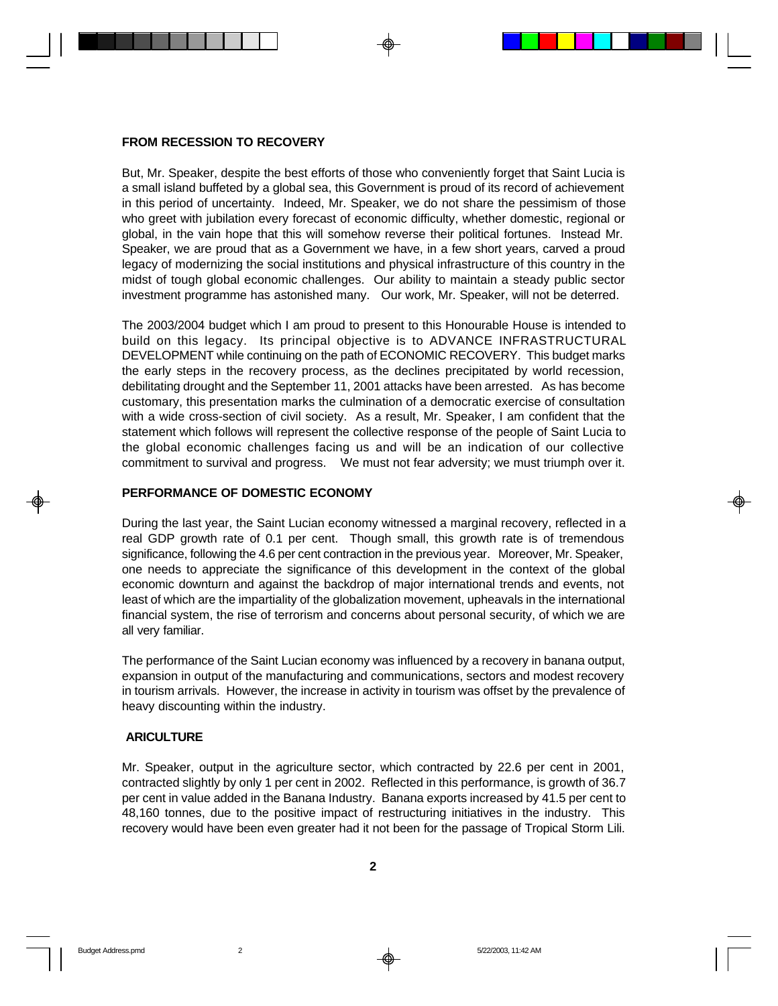#### **FROM RECESSION TO RECOVERY**

But, Mr. Speaker, despite the best efforts of those who conveniently forget that Saint Lucia is a small island buffeted by a global sea, this Government is proud of its record of achievement in this period of uncertainty. Indeed, Mr. Speaker, we do not share the pessimism of those who greet with jubilation every forecast of economic difficulty, whether domestic, regional or global, in the vain hope that this will somehow reverse their political fortunes. Instead Mr. Speaker, we are proud that as a Government we have, in a few short years, carved a proud legacy of modernizing the social institutions and physical infrastructure of this country in the midst of tough global economic challenges. Our ability to maintain a steady public sector investment programme has astonished many. Our work, Mr. Speaker, will not be deterred.

The 2003/2004 budget which I am proud to present to this Honourable House is intended to build on this legacy. Its principal objective is to ADVANCE INFRASTRUCTURAL DEVELOPMENT while continuing on the path of ECONOMIC RECOVERY. This budget marks the early steps in the recovery process, as the declines precipitated by world recession, debilitating drought and the September 11, 2001 attacks have been arrested. As has become customary, this presentation marks the culmination of a democratic exercise of consultation with a wide cross-section of civil society. As a result, Mr. Speaker, I am confident that the statement which follows will represent the collective response of the people of Saint Lucia to the global economic challenges facing us and will be an indication of our collective commitment to survival and progress. We must not fear adversity; we must triumph over it.

#### **PERFORMANCE OF DOMESTIC ECONOMY**

During the last year, the Saint Lucian economy witnessed a marginal recovery, reflected in a real GDP growth rate of 0.1 per cent. Though small, this growth rate is of tremendous significance, following the 4.6 per cent contraction in the previous year. Moreover, Mr. Speaker, one needs to appreciate the significance of this development in the context of the global economic downturn and against the backdrop of major international trends and events, not least of which are the impartiality of the globalization movement, upheavals in the international financial system, the rise of terrorism and concerns about personal security, of which we are all very familiar.

The performance of the Saint Lucian economy was influenced by a recovery in banana output, expansion in output of the manufacturing and communications, sectors and modest recovery in tourism arrivals. However, the increase in activity in tourism was offset by the prevalence of heavy discounting within the industry.

#### **ARICULTURE**

Mr. Speaker, output in the agriculture sector, which contracted by 22.6 per cent in 2001, contracted slightly by only 1 per cent in 2002. Reflected in this performance, is growth of 36.7 per cent in value added in the Banana Industry. Banana exports increased by 41.5 per cent to 48,160 tonnes, due to the positive impact of restructuring initiatives in the industry. This recovery would have been even greater had it not been for the passage of Tropical Storm Lili.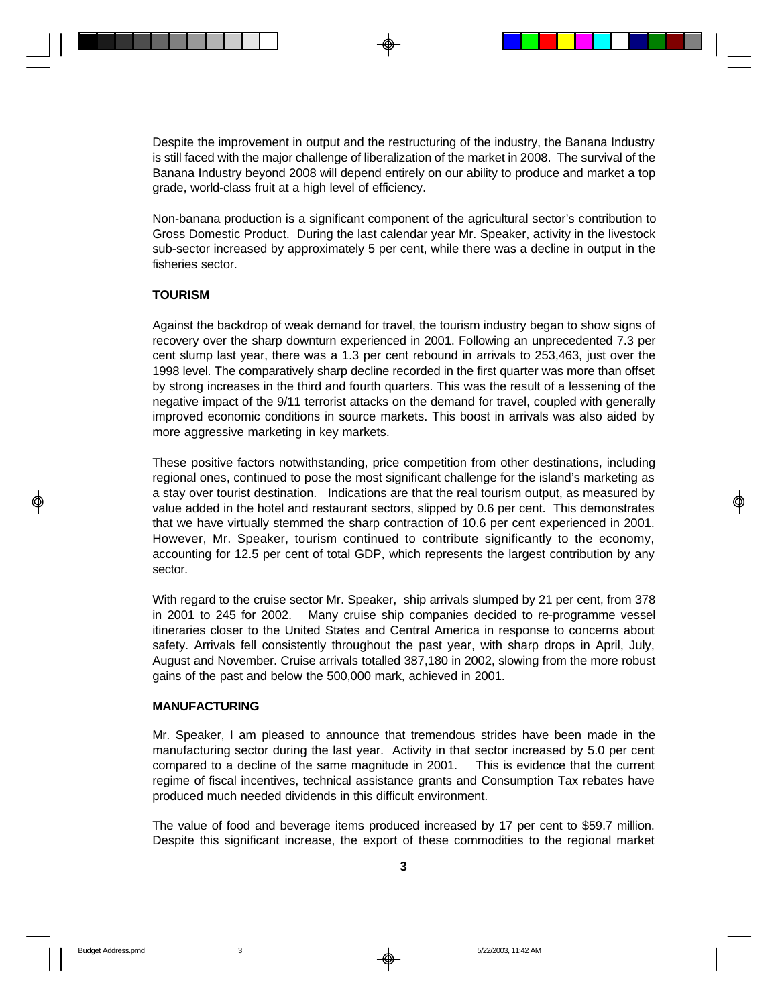Despite the improvement in output and the restructuring of the industry, the Banana Industry is still faced with the major challenge of liberalization of the market in 2008. The survival of the Banana Industry beyond 2008 will depend entirely on our ability to produce and market a top grade, world-class fruit at a high level of efficiency.

Non-banana production is a significant component of the agricultural sector's contribution to Gross Domestic Product. During the last calendar year Mr. Speaker, activity in the livestock sub-sector increased by approximately 5 per cent, while there was a decline in output in the fisheries sector.

#### **TOURISM**

Against the backdrop of weak demand for travel, the tourism industry began to show signs of recovery over the sharp downturn experienced in 2001. Following an unprecedented 7.3 per cent slump last year, there was a 1.3 per cent rebound in arrivals to 253,463, just over the 1998 level. The comparatively sharp decline recorded in the first quarter was more than offset by strong increases in the third and fourth quarters. This was the result of a lessening of the negative impact of the 9/11 terrorist attacks on the demand for travel, coupled with generally improved economic conditions in source markets. This boost in arrivals was also aided by more aggressive marketing in key markets.

These positive factors notwithstanding, price competition from other destinations, including regional ones, continued to pose the most significant challenge for the island's marketing as a stay over tourist destination. Indications are that the real tourism output, as measured by value added in the hotel and restaurant sectors, slipped by 0.6 per cent. This demonstrates that we have virtually stemmed the sharp contraction of 10.6 per cent experienced in 2001. However, Mr. Speaker, tourism continued to contribute significantly to the economy, accounting for 12.5 per cent of total GDP, which represents the largest contribution by any sector.

With regard to the cruise sector Mr. Speaker, ship arrivals slumped by 21 per cent, from 378 in 2001 to 245 for 2002. Many cruise ship companies decided to re-programme vessel itineraries closer to the United States and Central America in response to concerns about safety. Arrivals fell consistently throughout the past year, with sharp drops in April, July, August and November. Cruise arrivals totalled 387,180 in 2002, slowing from the more robust gains of the past and below the 500,000 mark, achieved in 2001.

### **MANUFACTURING**

Mr. Speaker, I am pleased to announce that tremendous strides have been made in the manufacturing sector during the last year. Activity in that sector increased by 5.0 per cent compared to a decline of the same magnitude in 2001. This is evidence that the current regime of fiscal incentives, technical assistance grants and Consumption Tax rebates have produced much needed dividends in this difficult environment.

The value of food and beverage items produced increased by 17 per cent to \$59.7 million. Despite this significant increase, the export of these commodities to the regional market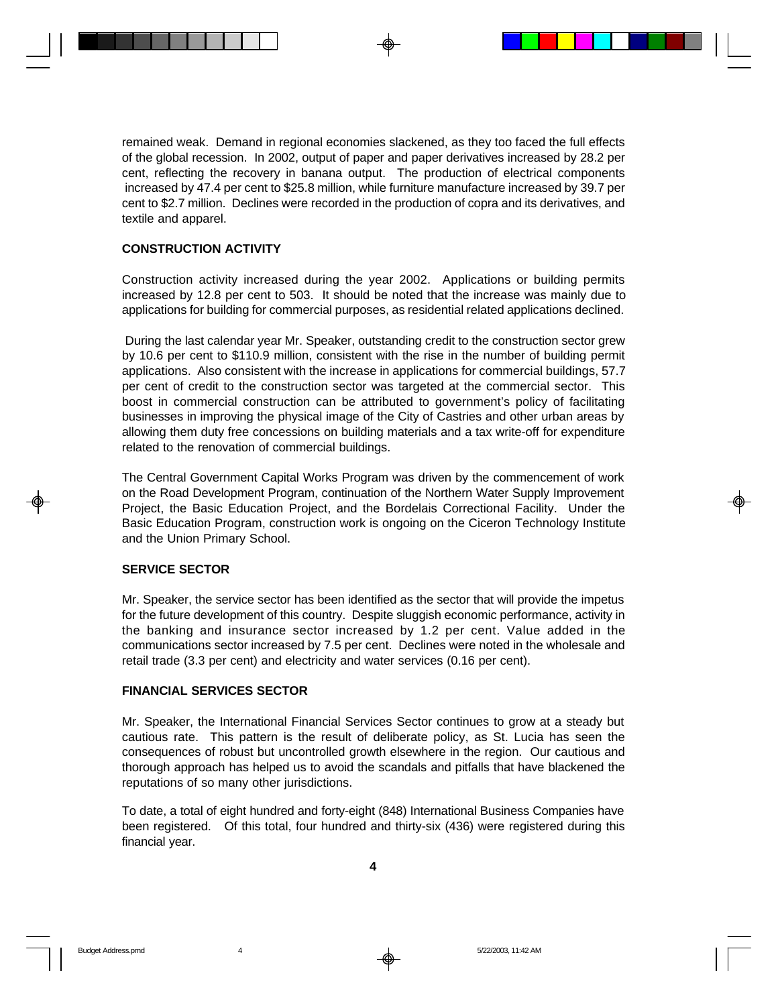remained weak. Demand in regional economies slackened, as they too faced the full effects of the global recession. In 2002, output of paper and paper derivatives increased by 28.2 per cent, reflecting the recovery in banana output. The production of electrical components increased by 47.4 per cent to \$25.8 million, while furniture manufacture increased by 39.7 per cent to \$2.7 million. Declines were recorded in the production of copra and its derivatives, and textile and apparel.

### **CONSTRUCTION ACTIVITY**

Construction activity increased during the year 2002. Applications or building permits increased by 12.8 per cent to 503. It should be noted that the increase was mainly due to applications for building for commercial purposes, as residential related applications declined.

 During the last calendar year Mr. Speaker, outstanding credit to the construction sector grew by 10.6 per cent to \$110.9 million, consistent with the rise in the number of building permit applications. Also consistent with the increase in applications for commercial buildings, 57.7 per cent of credit to the construction sector was targeted at the commercial sector. This boost in commercial construction can be attributed to government's policy of facilitating businesses in improving the physical image of the City of Castries and other urban areas by allowing them duty free concessions on building materials and a tax write-off for expenditure related to the renovation of commercial buildings.

The Central Government Capital Works Program was driven by the commencement of work on the Road Development Program, continuation of the Northern Water Supply Improvement Project, the Basic Education Project, and the Bordelais Correctional Facility. Under the Basic Education Program, construction work is ongoing on the Ciceron Technology Institute and the Union Primary School.

#### **SERVICE SECTOR**

Mr. Speaker, the service sector has been identified as the sector that will provide the impetus for the future development of this country. Despite sluggish economic performance, activity in the banking and insurance sector increased by 1.2 per cent. Value added in the communications sector increased by 7.5 per cent. Declines were noted in the wholesale and retail trade (3.3 per cent) and electricity and water services (0.16 per cent).

### **FINANCIAL SERVICES SECTOR**

Mr. Speaker, the International Financial Services Sector continues to grow at a steady but cautious rate. This pattern is the result of deliberate policy, as St. Lucia has seen the consequences of robust but uncontrolled growth elsewhere in the region. Our cautious and thorough approach has helped us to avoid the scandals and pitfalls that have blackened the reputations of so many other jurisdictions.

To date, a total of eight hundred and forty-eight (848) International Business Companies have been registered. Of this total, four hundred and thirty-six (436) were registered during this financial year.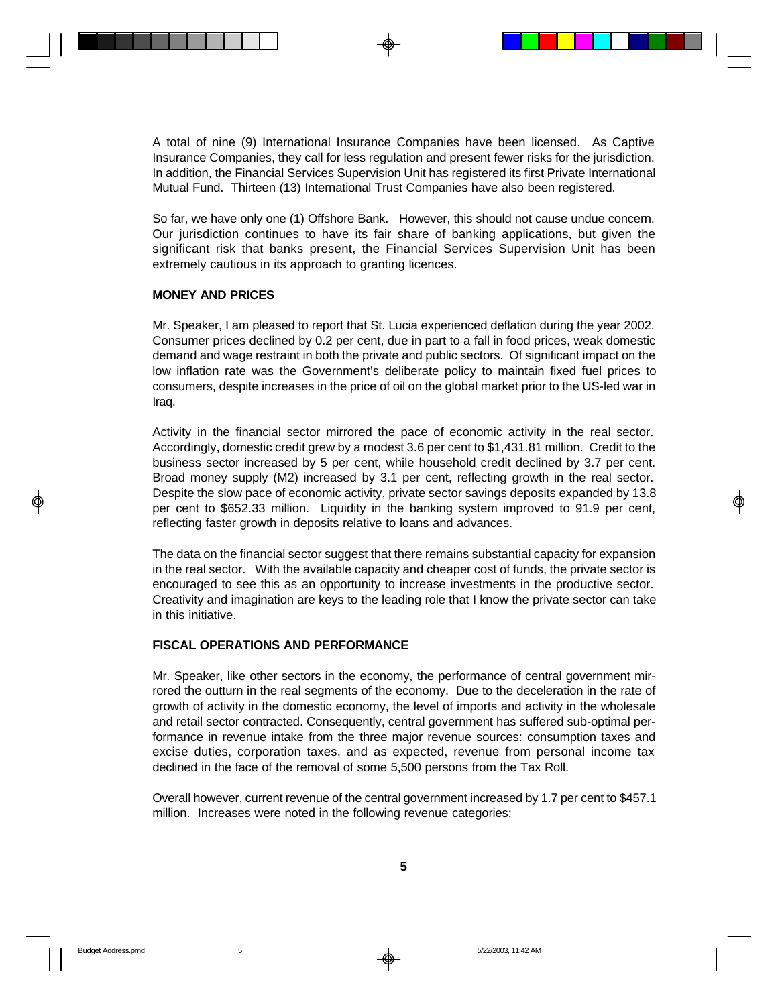A total of nine (9) International Insurance Companies have been licensed. As Captive Insurance Companies, they call for less regulation and present fewer risks for the jurisdiction. In addition, the Financial Services Supervision Unit has registered its first Private International Mutual Fund. Thirteen (13) International Trust Companies have also been registered.

So far, we have only one (1) Offshore Bank. However, this should not cause undue concern. Our jurisdiction continues to have its fair share of banking applications, but given the significant risk that banks present, the Financial Services Supervision Unit has been extremely cautious in its approach to granting licences.

#### **MONEY AND PRICES**

Mr. Speaker, I am pleased to report that St. Lucia experienced deflation during the year 2002. Consumer prices declined by 0.2 per cent, due in part to a fall in food prices, weak domestic demand and wage restraint in both the private and public sectors. Of significant impact on the low inflation rate was the Government's deliberate policy to maintain fixed fuel prices to consumers, despite increases in the price of oil on the global market prior to the US-led war in Iraq.

Activity in the financial sector mirrored the pace of economic activity in the real sector. Accordingly, domestic credit grew by a modest 3.6 per cent to \$1,431.81 million. Credit to the business sector increased by 5 per cent, while household credit declined by 3.7 per cent. Broad money supply (M2) increased by 3.1 per cent, reflecting growth in the real sector. Despite the slow pace of economic activity, private sector savings deposits expanded by 13.8 per cent to \$652.33 million. Liquidity in the banking system improved to 91.9 per cent, reflecting faster growth in deposits relative to loans and advances.

The data on the financial sector suggest that there remains substantial capacity for expansion in the real sector. With the available capacity and cheaper cost of funds, the private sector is encouraged to see this as an opportunity to increase investments in the productive sector. Creativity and imagination are keys to the leading role that I know the private sector can take in this initiative.

### **FISCAL OPERATIONS AND PERFORMANCE**

Mr. Speaker, like other sectors in the economy, the performance of central government mirrored the outturn in the real segments of the economy. Due to the deceleration in the rate of growth of activity in the domestic economy, the level of imports and activity in the wholesale and retail sector contracted. Consequently, central government has suffered sub-optimal performance in revenue intake from the three major revenue sources: consumption taxes and excise duties, corporation taxes, and as expected, revenue from personal income tax declined in the face of the removal of some 5,500 persons from the Tax Roll.

Overall however, current revenue of the central government increased by 1.7 per cent to \$457.1 million. Increases were noted in the following revenue categories: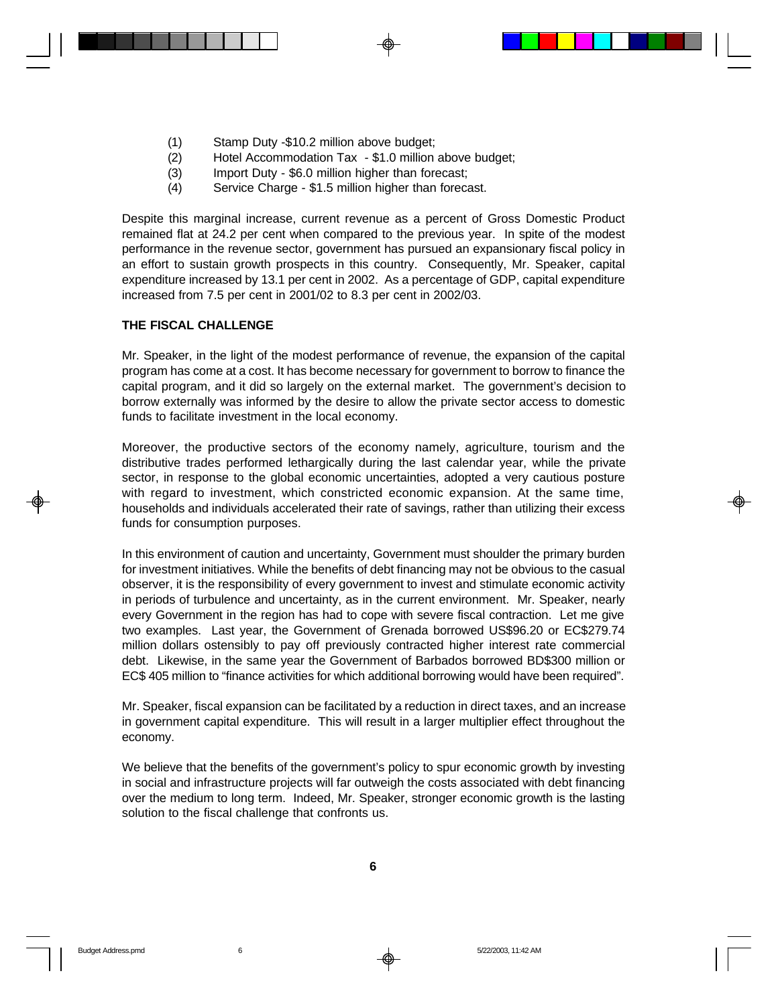- (1) Stamp Duty -\$10.2 million above budget;
- (2) Hotel Accommodation Tax \$1.0 million above budget;
- (3) Import Duty \$6.0 million higher than forecast;
- (4) Service Charge \$1.5 million higher than forecast.

Despite this marginal increase, current revenue as a percent of Gross Domestic Product remained flat at 24.2 per cent when compared to the previous year. In spite of the modest performance in the revenue sector, government has pursued an expansionary fiscal policy in an effort to sustain growth prospects in this country. Consequently, Mr. Speaker, capital expenditure increased by 13.1 per cent in 2002. As a percentage of GDP, capital expenditure increased from 7.5 per cent in 2001/02 to 8.3 per cent in 2002/03.

#### **THE FISCAL CHALLENGE**

Mr. Speaker, in the light of the modest performance of revenue, the expansion of the capital program has come at a cost. It has become necessary for government to borrow to finance the capital program, and it did so largely on the external market. The government's decision to borrow externally was informed by the desire to allow the private sector access to domestic funds to facilitate investment in the local economy.

Moreover, the productive sectors of the economy namely, agriculture, tourism and the distributive trades performed lethargically during the last calendar year, while the private sector, in response to the global economic uncertainties, adopted a very cautious posture with regard to investment, which constricted economic expansion. At the same time, households and individuals accelerated their rate of savings, rather than utilizing their excess funds for consumption purposes.

In this environment of caution and uncertainty, Government must shoulder the primary burden for investment initiatives. While the benefits of debt financing may not be obvious to the casual observer, it is the responsibility of every government to invest and stimulate economic activity in periods of turbulence and uncertainty, as in the current environment. Mr. Speaker, nearly every Government in the region has had to cope with severe fiscal contraction. Let me give two examples. Last year, the Government of Grenada borrowed US\$96.20 or EC\$279.74 million dollars ostensibly to pay off previously contracted higher interest rate commercial debt. Likewise, in the same year the Government of Barbados borrowed BD\$300 million or EC\$ 405 million to "finance activities for which additional borrowing would have been required".

Mr. Speaker, fiscal expansion can be facilitated by a reduction in direct taxes, and an increase in government capital expenditure. This will result in a larger multiplier effect throughout the economy.

We believe that the benefits of the government's policy to spur economic growth by investing in social and infrastructure projects will far outweigh the costs associated with debt financing over the medium to long term. Indeed, Mr. Speaker, stronger economic growth is the lasting solution to the fiscal challenge that confronts us.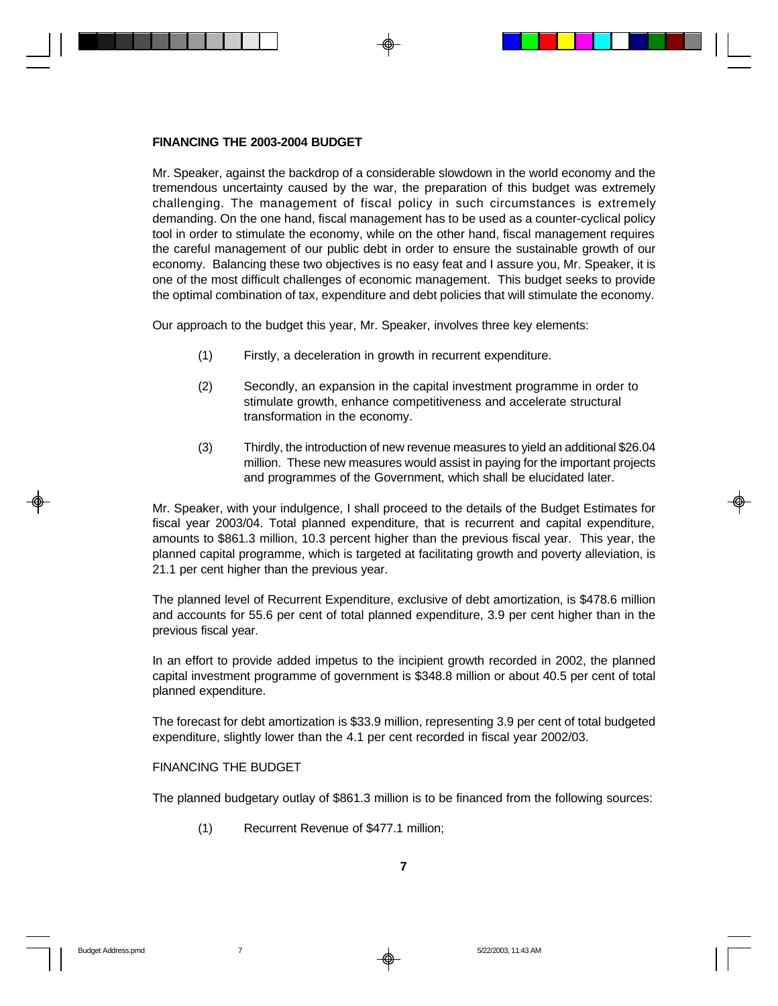#### **FINANCING THE 2003-2004 BUDGET**

Mr. Speaker, against the backdrop of a considerable slowdown in the world economy and the tremendous uncertainty caused by the war, the preparation of this budget was extremely challenging. The management of fiscal policy in such circumstances is extremely demanding. On the one hand, fiscal management has to be used as a counter-cyclical policy tool in order to stimulate the economy, while on the other hand, fiscal management requires the careful management of our public debt in order to ensure the sustainable growth of our economy. Balancing these two objectives is no easy feat and I assure you, Mr. Speaker, it is one of the most difficult challenges of economic management. This budget seeks to provide the optimal combination of tax, expenditure and debt policies that will stimulate the economy.

Our approach to the budget this year, Mr. Speaker, involves three key elements:

- (1) Firstly, a deceleration in growth in recurrent expenditure.
- (2) Secondly, an expansion in the capital investment programme in order to stimulate growth, enhance competitiveness and accelerate structural transformation in the economy.
- (3) Thirdly, the introduction of new revenue measures to yield an additional \$26.04 million. These new measures would assist in paying for the important projects and programmes of the Government, which shall be elucidated later.

Mr. Speaker, with your indulgence, I shall proceed to the details of the Budget Estimates for fiscal year 2003/04. Total planned expenditure, that is recurrent and capital expenditure, amounts to \$861.3 million, 10.3 percent higher than the previous fiscal year. This year, the planned capital programme, which is targeted at facilitating growth and poverty alleviation, is 21.1 per cent higher than the previous year.

The planned level of Recurrent Expenditure, exclusive of debt amortization, is \$478.6 million and accounts for 55.6 per cent of total planned expenditure, 3.9 per cent higher than in the previous fiscal year.

In an effort to provide added impetus to the incipient growth recorded in 2002, the planned capital investment programme of government is \$348.8 million or about 40.5 per cent of total planned expenditure.

The forecast for debt amortization is \$33.9 million, representing 3.9 per cent of total budgeted expenditure, slightly lower than the 4.1 per cent recorded in fiscal year 2002/03.

#### FINANCING THE BUDGET

The planned budgetary outlay of \$861.3 million is to be financed from the following sources:

(1) Recurrent Revenue of \$477.1 million;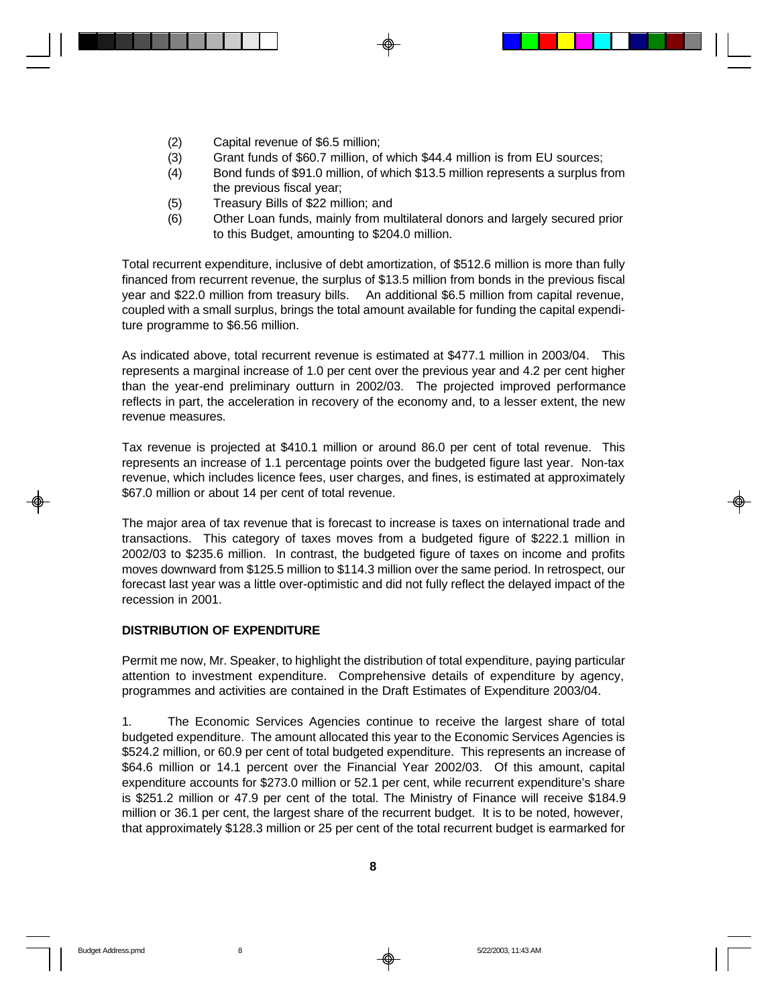- (2) Capital revenue of \$6.5 million;
- (3) Grant funds of \$60.7 million, of which \$44.4 million is from EU sources;
- (4) Bond funds of \$91.0 million, of which \$13.5 million represents a surplus from the previous fiscal year;
- (5) Treasury Bills of \$22 million; and
- (6) Other Loan funds, mainly from multilateral donors and largely secured prior to this Budget, amounting to \$204.0 million.

Total recurrent expenditure, inclusive of debt amortization, of \$512.6 million is more than fully financed from recurrent revenue, the surplus of \$13.5 million from bonds in the previous fiscal year and \$22.0 million from treasury bills. An additional \$6.5 million from capital revenue, coupled with a small surplus, brings the total amount available for funding the capital expenditure programme to \$6.56 million.

As indicated above, total recurrent revenue is estimated at \$477.1 million in 2003/04. This represents a marginal increase of 1.0 per cent over the previous year and 4.2 per cent higher than the year-end preliminary outturn in 2002/03. The projected improved performance reflects in part, the acceleration in recovery of the economy and, to a lesser extent, the new revenue measures.

Tax revenue is projected at \$410.1 million or around 86.0 per cent of total revenue. This represents an increase of 1.1 percentage points over the budgeted figure last year. Non-tax revenue, which includes licence fees, user charges, and fines, is estimated at approximately \$67.0 million or about 14 per cent of total revenue.

The major area of tax revenue that is forecast to increase is taxes on international trade and transactions. This category of taxes moves from a budgeted figure of \$222.1 million in 2002/03 to \$235.6 million. In contrast, the budgeted figure of taxes on income and profits moves downward from \$125.5 million to \$114.3 million over the same period. In retrospect, our forecast last year was a little over-optimistic and did not fully reflect the delayed impact of the recession in 2001.

### **DISTRIBUTION OF EXPENDITURE**

Permit me now, Mr. Speaker, to highlight the distribution of total expenditure, paying particular attention to investment expenditure. Comprehensive details of expenditure by agency, programmes and activities are contained in the Draft Estimates of Expenditure 2003/04.

1. The Economic Services Agencies continue to receive the largest share of total budgeted expenditure. The amount allocated this year to the Economic Services Agencies is \$524.2 million, or 60.9 per cent of total budgeted expenditure. This represents an increase of \$64.6 million or 14.1 percent over the Financial Year 2002/03. Of this amount, capital expenditure accounts for \$273.0 million or 52.1 per cent, while recurrent expenditure's share is \$251.2 million or 47.9 per cent of the total. The Ministry of Finance will receive \$184.9 million or 36.1 per cent, the largest share of the recurrent budget. It is to be noted, however, that approximately \$128.3 million or 25 per cent of the total recurrent budget is earmarked for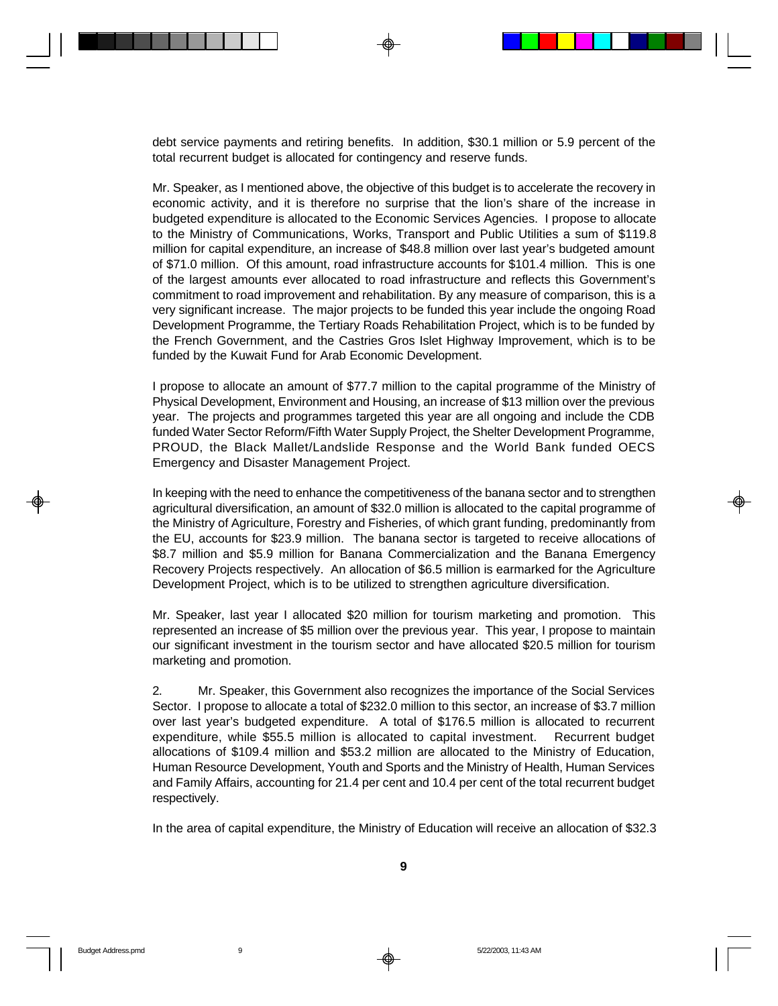debt service payments and retiring benefits. In addition, \$30.1 million or 5.9 percent of the total recurrent budget is allocated for contingency and reserve funds.

Mr. Speaker, as I mentioned above, the objective of this budget is to accelerate the recovery in economic activity, and it is therefore no surprise that the lion's share of the increase in budgeted expenditure is allocated to the Economic Services Agencies. I propose to allocate to the Ministry of Communications, Works, Transport and Public Utilities a sum of \$119.8 million for capital expenditure, an increase of \$48.8 million over last year's budgeted amount of \$71.0 million. Of this amount, road infrastructure accounts for \$101.4 million. This is one of the largest amounts ever allocated to road infrastructure and reflects this Government's commitment to road improvement and rehabilitation. By any measure of comparison, this is a very significant increase. The major projects to be funded this year include the ongoing Road Development Programme, the Tertiary Roads Rehabilitation Project, which is to be funded by the French Government, and the Castries Gros Islet Highway Improvement, which is to be funded by the Kuwait Fund for Arab Economic Development.

I propose to allocate an amount of \$77.7 million to the capital programme of the Ministry of Physical Development, Environment and Housing, an increase of \$13 million over the previous year. The projects and programmes targeted this year are all ongoing and include the CDB funded Water Sector Reform/Fifth Water Supply Project, the Shelter Development Programme, PROUD, the Black Mallet/Landslide Response and the World Bank funded OECS Emergency and Disaster Management Project.

In keeping with the need to enhance the competitiveness of the banana sector and to strengthen agricultural diversification, an amount of \$32.0 million is allocated to the capital programme of the Ministry of Agriculture, Forestry and Fisheries, of which grant funding, predominantly from the EU, accounts for \$23.9 million. The banana sector is targeted to receive allocations of \$8.7 million and \$5.9 million for Banana Commercialization and the Banana Emergency Recovery Projects respectively. An allocation of \$6.5 million is earmarked for the Agriculture Development Project, which is to be utilized to strengthen agriculture diversification.

Mr. Speaker, last year I allocated \$20 million for tourism marketing and promotion. This represented an increase of \$5 million over the previous year. This year, I propose to maintain our significant investment in the tourism sector and have allocated \$20.5 million for tourism marketing and promotion.

2. Mr. Speaker, this Government also recognizes the importance of the Social Services Sector. I propose to allocate a total of \$232.0 million to this sector, an increase of \$3.7 million over last year's budgeted expenditure. A total of \$176.5 million is allocated to recurrent expenditure, while \$55.5 million is allocated to capital investment. Recurrent budget allocations of \$109.4 million and \$53.2 million are allocated to the Ministry of Education, Human Resource Development, Youth and Sports and the Ministry of Health, Human Services and Family Affairs, accounting for 21.4 per cent and 10.4 per cent of the total recurrent budget respectively.

In the area of capital expenditure, the Ministry of Education will receive an allocation of \$32.3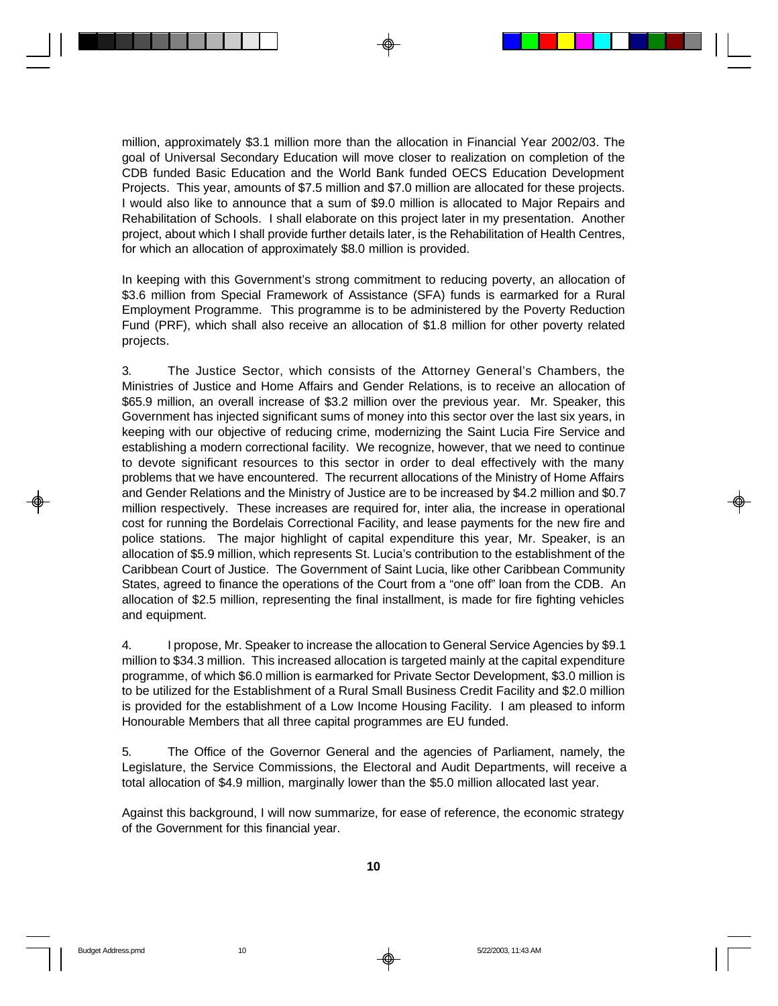million, approximately \$3.1 million more than the allocation in Financial Year 2002/03. The goal of Universal Secondary Education will move closer to realization on completion of the CDB funded Basic Education and the World Bank funded OECS Education Development Projects. This year, amounts of \$7.5 million and \$7.0 million are allocated for these projects. I would also like to announce that a sum of \$9.0 million is allocated to Major Repairs and Rehabilitation of Schools. I shall elaborate on this project later in my presentation. Another project, about which I shall provide further details later, is the Rehabilitation of Health Centres, for which an allocation of approximately \$8.0 million is provided.

In keeping with this Government's strong commitment to reducing poverty, an allocation of \$3.6 million from Special Framework of Assistance (SFA) funds is earmarked for a Rural Employment Programme. This programme is to be administered by the Poverty Reduction Fund (PRF), which shall also receive an allocation of \$1.8 million for other poverty related projects.

3. The Justice Sector, which consists of the Attorney General's Chambers, the Ministries of Justice and Home Affairs and Gender Relations, is to receive an allocation of \$65.9 million, an overall increase of \$3.2 million over the previous year. Mr. Speaker, this Government has injected significant sums of money into this sector over the last six years, in keeping with our objective of reducing crime, modernizing the Saint Lucia Fire Service and establishing a modern correctional facility. We recognize, however, that we need to continue to devote significant resources to this sector in order to deal effectively with the many problems that we have encountered. The recurrent allocations of the Ministry of Home Affairs and Gender Relations and the Ministry of Justice are to be increased by \$4.2 million and \$0.7 million respectively. These increases are required for, inter alia, the increase in operational cost for running the Bordelais Correctional Facility, and lease payments for the new fire and police stations. The major highlight of capital expenditure this year, Mr. Speaker, is an allocation of \$5.9 million, which represents St. Lucia's contribution to the establishment of the Caribbean Court of Justice. The Government of Saint Lucia, like other Caribbean Community States, agreed to finance the operations of the Court from a "one off" loan from the CDB. An allocation of \$2.5 million, representing the final installment, is made for fire fighting vehicles and equipment.

4. I propose, Mr. Speaker to increase the allocation to General Service Agencies by \$9.1 million to \$34.3 million. This increased allocation is targeted mainly at the capital expenditure programme, of which \$6.0 million is earmarked for Private Sector Development, \$3.0 million is to be utilized for the Establishment of a Rural Small Business Credit Facility and \$2.0 million is provided for the establishment of a Low Income Housing Facility. I am pleased to inform Honourable Members that all three capital programmes are EU funded.

5. The Office of the Governor General and the agencies of Parliament, namely, the Legislature, the Service Commissions, the Electoral and Audit Departments, will receive a total allocation of \$4.9 million, marginally lower than the \$5.0 million allocated last year.

Against this background, I will now summarize, for ease of reference, the economic strategy of the Government for this financial year.

**10**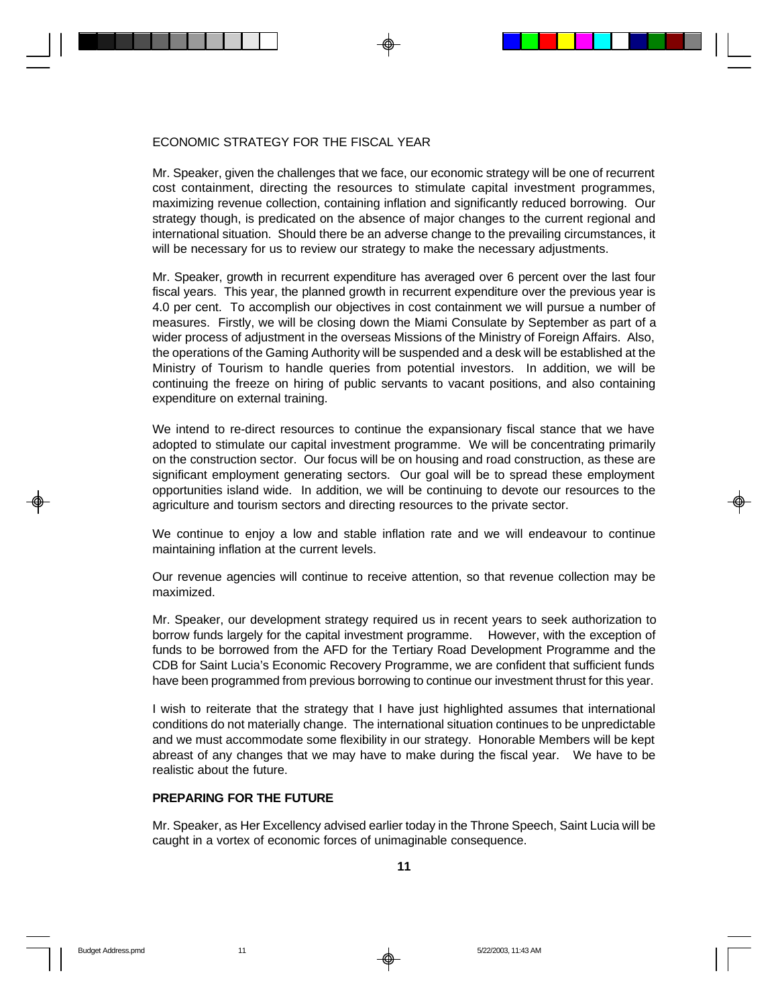### ECONOMIC STRATEGY FOR THE FISCAL YEAR

Mr. Speaker, given the challenges that we face, our economic strategy will be one of recurrent cost containment, directing the resources to stimulate capital investment programmes, maximizing revenue collection, containing inflation and significantly reduced borrowing. Our strategy though, is predicated on the absence of major changes to the current regional and international situation. Should there be an adverse change to the prevailing circumstances, it will be necessary for us to review our strategy to make the necessary adjustments.

Mr. Speaker, growth in recurrent expenditure has averaged over 6 percent over the last four fiscal years. This year, the planned growth in recurrent expenditure over the previous year is 4.0 per cent. To accomplish our objectives in cost containment we will pursue a number of measures. Firstly, we will be closing down the Miami Consulate by September as part of a wider process of adjustment in the overseas Missions of the Ministry of Foreign Affairs. Also, the operations of the Gaming Authority will be suspended and a desk will be established at the Ministry of Tourism to handle queries from potential investors. In addition, we will be continuing the freeze on hiring of public servants to vacant positions, and also containing expenditure on external training.

We intend to re-direct resources to continue the expansionary fiscal stance that we have adopted to stimulate our capital investment programme. We will be concentrating primarily on the construction sector. Our focus will be on housing and road construction, as these are significant employment generating sectors. Our goal will be to spread these employment opportunities island wide. In addition, we will be continuing to devote our resources to the agriculture and tourism sectors and directing resources to the private sector.

We continue to enjoy a low and stable inflation rate and we will endeavour to continue maintaining inflation at the current levels.

Our revenue agencies will continue to receive attention, so that revenue collection may be maximized.

Mr. Speaker, our development strategy required us in recent years to seek authorization to borrow funds largely for the capital investment programme. However, with the exception of funds to be borrowed from the AFD for the Tertiary Road Development Programme and the CDB for Saint Lucia's Economic Recovery Programme, we are confident that sufficient funds have been programmed from previous borrowing to continue our investment thrust for this year.

I wish to reiterate that the strategy that I have just highlighted assumes that international conditions do not materially change. The international situation continues to be unpredictable and we must accommodate some flexibility in our strategy. Honorable Members will be kept abreast of any changes that we may have to make during the fiscal year. We have to be realistic about the future.

#### **PREPARING FOR THE FUTURE**

Mr. Speaker, as Her Excellency advised earlier today in the Throne Speech, Saint Lucia will be caught in a vortex of economic forces of unimaginable consequence.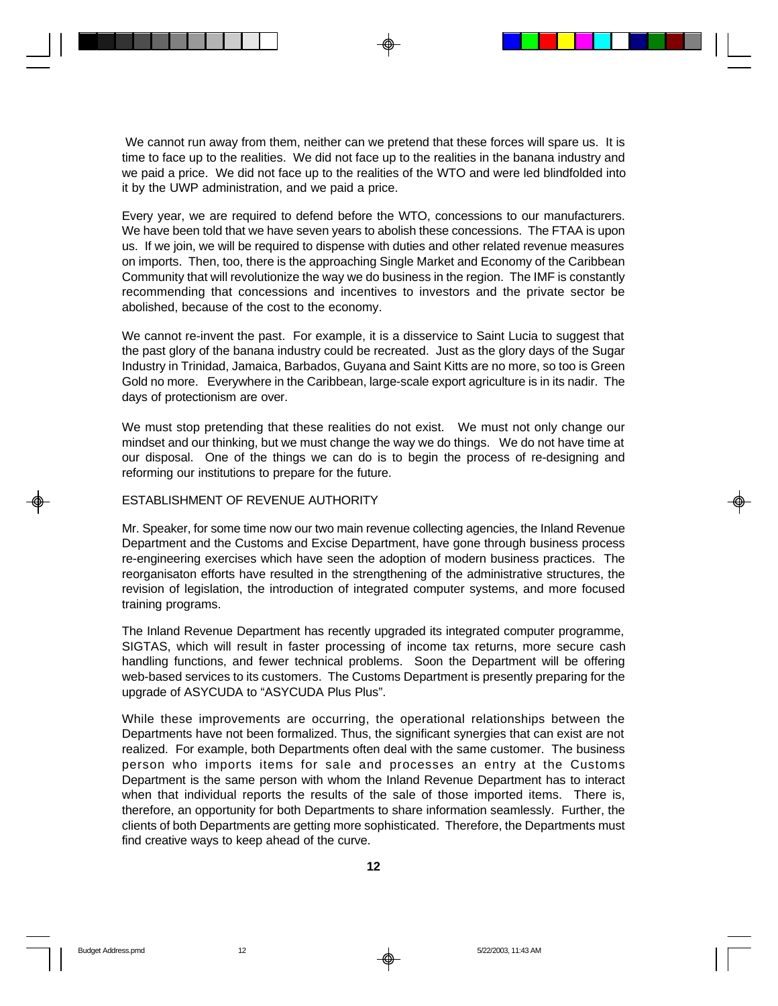We cannot run away from them, neither can we pretend that these forces will spare us. It is time to face up to the realities. We did not face up to the realities in the banana industry and we paid a price. We did not face up to the realities of the WTO and were led blindfolded into it by the UWP administration, and we paid a price.

Every year, we are required to defend before the WTO, concessions to our manufacturers. We have been told that we have seven years to abolish these concessions. The FTAA is upon us. If we join, we will be required to dispense with duties and other related revenue measures on imports. Then, too, there is the approaching Single Market and Economy of the Caribbean Community that will revolutionize the way we do business in the region. The IMF is constantly recommending that concessions and incentives to investors and the private sector be abolished, because of the cost to the economy.

We cannot re-invent the past. For example, it is a disservice to Saint Lucia to suggest that the past glory of the banana industry could be recreated. Just as the glory days of the Sugar Industry in Trinidad, Jamaica, Barbados, Guyana and Saint Kitts are no more, so too is Green Gold no more. Everywhere in the Caribbean, large-scale export agriculture is in its nadir. The days of protectionism are over.

We must stop pretending that these realities do not exist. We must not only change our mindset and our thinking, but we must change the way we do things. We do not have time at our disposal. One of the things we can do is to begin the process of re-designing and reforming our institutions to prepare for the future.

#### ESTABLISHMENT OF REVENUE AUTHORITY

Mr. Speaker, for some time now our two main revenue collecting agencies, the Inland Revenue Department and the Customs and Excise Department, have gone through business process re-engineering exercises which have seen the adoption of modern business practices. The reorganisaton efforts have resulted in the strengthening of the administrative structures, the revision of legislation, the introduction of integrated computer systems, and more focused training programs.

The Inland Revenue Department has recently upgraded its integrated computer programme, SIGTAS, which will result in faster processing of income tax returns, more secure cash handling functions, and fewer technical problems. Soon the Department will be offering web-based services to its customers. The Customs Department is presently preparing for the upgrade of ASYCUDA to "ASYCUDA Plus Plus".

While these improvements are occurring, the operational relationships between the Departments have not been formalized. Thus, the significant synergies that can exist are not realized. For example, both Departments often deal with the same customer. The business person who imports items for sale and processes an entry at the Customs Department is the same person with whom the Inland Revenue Department has to interact when that individual reports the results of the sale of those imported items. There is, therefore, an opportunity for both Departments to share information seamlessly. Further, the clients of both Departments are getting more sophisticated. Therefore, the Departments must find creative ways to keep ahead of the curve.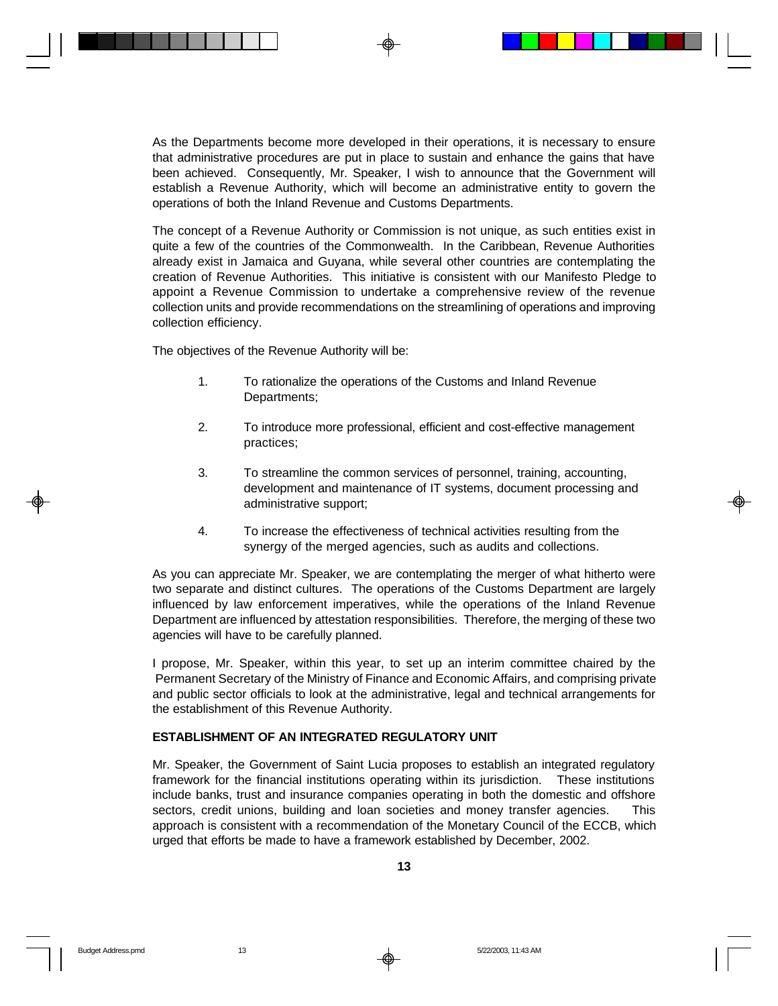As the Departments become more developed in their operations, it is necessary to ensure that administrative procedures are put in place to sustain and enhance the gains that have been achieved. Consequently, Mr. Speaker, I wish to announce that the Government will establish a Revenue Authority, which will become an administrative entity to govern the operations of both the Inland Revenue and Customs Departments.

The concept of a Revenue Authority or Commission is not unique, as such entities exist in quite a few of the countries of the Commonwealth. In the Caribbean, Revenue Authorities already exist in Jamaica and Guyana, while several other countries are contemplating the creation of Revenue Authorities. This initiative is consistent with our Manifesto Pledge to appoint a Revenue Commission to undertake a comprehensive review of the revenue collection units and provide recommendations on the streamlining of operations and improving collection efficiency.

The objectives of the Revenue Authority will be:

- 1. To rationalize the operations of the Customs and Inland Revenue Departments;
- 2. To introduce more professional, efficient and cost-effective management practices;
- 3. To streamline the common services of personnel, training, accounting, development and maintenance of IT systems, document processing and administrative support;
- 4. To increase the effectiveness of technical activities resulting from the synergy of the merged agencies, such as audits and collections.

As you can appreciate Mr. Speaker, we are contemplating the merger of what hitherto were two separate and distinct cultures. The operations of the Customs Department are largely influenced by law enforcement imperatives, while the operations of the Inland Revenue Department are influenced by attestation responsibilities. Therefore, the merging of these two agencies will have to be carefully planned.

I propose, Mr. Speaker, within this year, to set up an interim committee chaired by the Permanent Secretary of the Ministry of Finance and Economic Affairs, and comprising private and public sector officials to look at the administrative, legal and technical arrangements for the establishment of this Revenue Authority.

### **ESTABLISHMENT OF AN INTEGRATED REGULATORY UNIT**

Mr. Speaker, the Government of Saint Lucia proposes to establish an integrated regulatory framework for the financial institutions operating within its jurisdiction. These institutions include banks, trust and insurance companies operating in both the domestic and offshore sectors, credit unions, building and loan societies and money transfer agencies. This approach is consistent with a recommendation of the Monetary Council of the ECCB, which urged that efforts be made to have a framework established by December, 2002.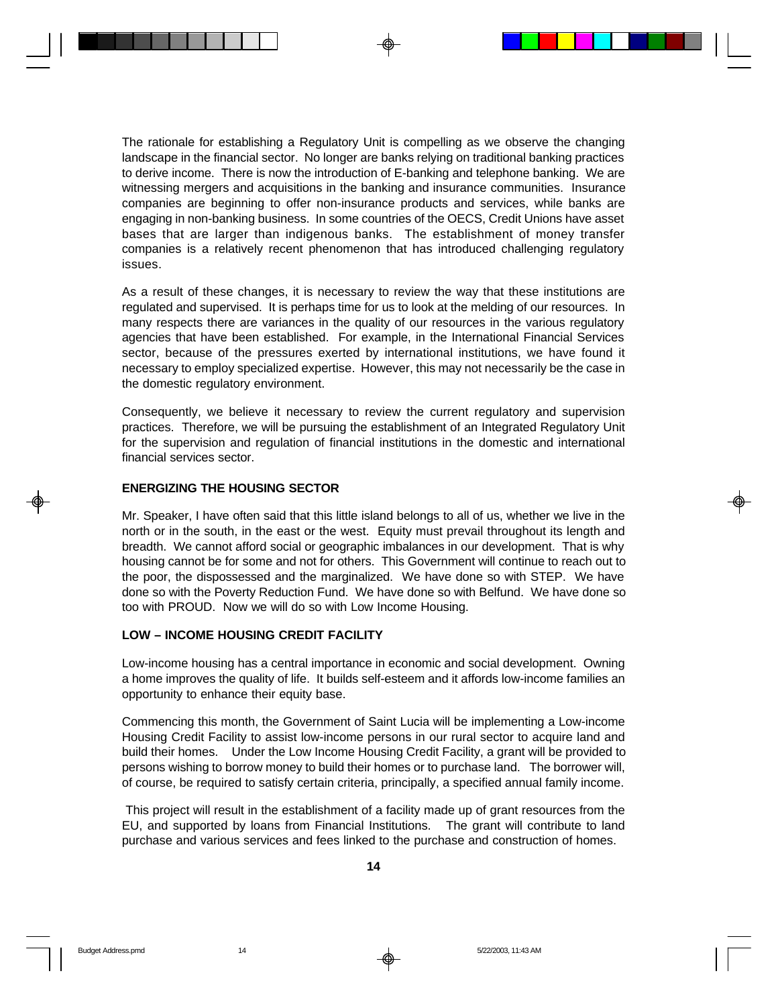The rationale for establishing a Regulatory Unit is compelling as we observe the changing landscape in the financial sector. No longer are banks relying on traditional banking practices to derive income. There is now the introduction of E-banking and telephone banking. We are witnessing mergers and acquisitions in the banking and insurance communities. Insurance companies are beginning to offer non-insurance products and services, while banks are engaging in non-banking business. In some countries of the OECS, Credit Unions have asset bases that are larger than indigenous banks. The establishment of money transfer companies is a relatively recent phenomenon that has introduced challenging regulatory issues.

As a result of these changes, it is necessary to review the way that these institutions are regulated and supervised. It is perhaps time for us to look at the melding of our resources. In many respects there are variances in the quality of our resources in the various regulatory agencies that have been established. For example, in the International Financial Services sector, because of the pressures exerted by international institutions, we have found it necessary to employ specialized expertise. However, this may not necessarily be the case in the domestic regulatory environment.

Consequently, we believe it necessary to review the current regulatory and supervision practices. Therefore, we will be pursuing the establishment of an Integrated Regulatory Unit for the supervision and regulation of financial institutions in the domestic and international financial services sector.

#### **ENERGIZING THE HOUSING SECTOR**

Mr. Speaker, I have often said that this little island belongs to all of us, whether we live in the north or in the south, in the east or the west. Equity must prevail throughout its length and breadth. We cannot afford social or geographic imbalances in our development. That is why housing cannot be for some and not for others. This Government will continue to reach out to the poor, the dispossessed and the marginalized. We have done so with STEP. We have done so with the Poverty Reduction Fund. We have done so with Belfund. We have done so too with PROUD. Now we will do so with Low Income Housing.

#### **LOW – INCOME HOUSING CREDIT FACILITY**

Low-income housing has a central importance in economic and social development. Owning a home improves the quality of life. It builds self-esteem and it affords low-income families an opportunity to enhance their equity base.

Commencing this month, the Government of Saint Lucia will be implementing a Low-income Housing Credit Facility to assist low-income persons in our rural sector to acquire land and build their homes. Under the Low Income Housing Credit Facility, a grant will be provided to persons wishing to borrow money to build their homes or to purchase land. The borrower will, of course, be required to satisfy certain criteria, principally, a specified annual family income.

 This project will result in the establishment of a facility made up of grant resources from the EU, and supported by loans from Financial Institutions. The grant will contribute to land purchase and various services and fees linked to the purchase and construction of homes.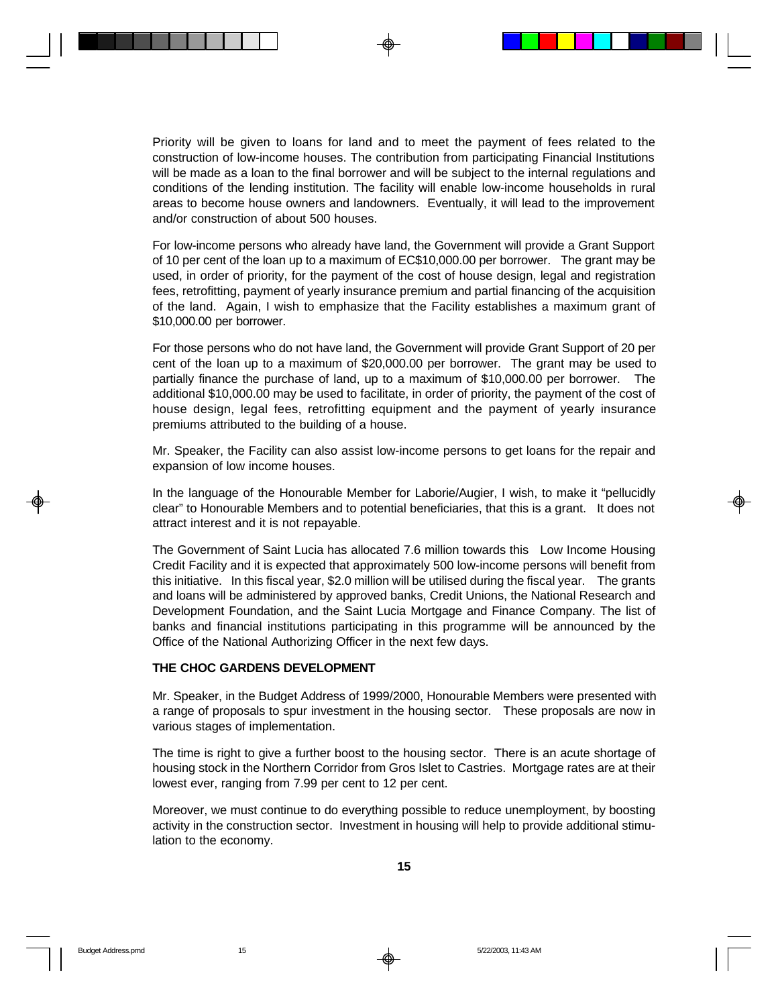Priority will be given to loans for land and to meet the payment of fees related to the construction of low-income houses. The contribution from participating Financial Institutions will be made as a loan to the final borrower and will be subject to the internal regulations and conditions of the lending institution. The facility will enable low-income households in rural areas to become house owners and landowners. Eventually, it will lead to the improvement and/or construction of about 500 houses.

For low-income persons who already have land, the Government will provide a Grant Support of 10 per cent of the loan up to a maximum of EC\$10,000.00 per borrower. The grant may be used, in order of priority, for the payment of the cost of house design, legal and registration fees, retrofitting, payment of yearly insurance premium and partial financing of the acquisition of the land. Again, I wish to emphasize that the Facility establishes a maximum grant of \$10,000.00 per borrower.

For those persons who do not have land, the Government will provide Grant Support of 20 per cent of the loan up to a maximum of \$20,000.00 per borrower. The grant may be used to partially finance the purchase of land, up to a maximum of \$10,000.00 per borrower. The additional \$10,000.00 may be used to facilitate, in order of priority, the payment of the cost of house design, legal fees, retrofitting equipment and the payment of yearly insurance premiums attributed to the building of a house.

Mr. Speaker, the Facility can also assist low-income persons to get loans for the repair and expansion of low income houses.

In the language of the Honourable Member for Laborie/Augier, I wish, to make it "pellucidly clear" to Honourable Members and to potential beneficiaries, that this is a grant. It does not attract interest and it is not repayable.

The Government of Saint Lucia has allocated 7.6 million towards this Low Income Housing Credit Facility and it is expected that approximately 500 low-income persons will benefit from this initiative. In this fiscal year, \$2.0 million will be utilised during the fiscal year. The grants and loans will be administered by approved banks, Credit Unions, the National Research and Development Foundation, and the Saint Lucia Mortgage and Finance Company. The list of banks and financial institutions participating in this programme will be announced by the Office of the National Authorizing Officer in the next few days.

#### **THE CHOC GARDENS DEVELOPMENT**

Mr. Speaker, in the Budget Address of 1999/2000, Honourable Members were presented with a range of proposals to spur investment in the housing sector. These proposals are now in various stages of implementation.

The time is right to give a further boost to the housing sector. There is an acute shortage of housing stock in the Northern Corridor from Gros Islet to Castries. Mortgage rates are at their lowest ever, ranging from 7.99 per cent to 12 per cent.

Moreover, we must continue to do everything possible to reduce unemployment, by boosting activity in the construction sector. Investment in housing will help to provide additional stimulation to the economy.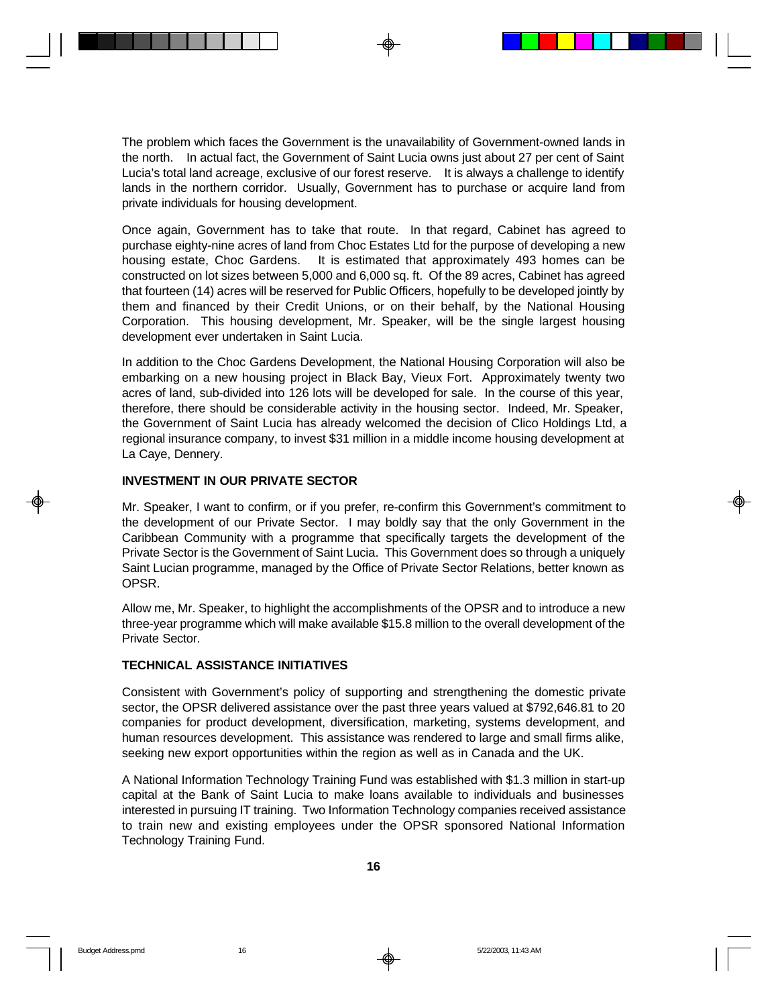The problem which faces the Government is the unavailability of Government-owned lands in the north. In actual fact, the Government of Saint Lucia owns just about 27 per cent of Saint Lucia's total land acreage, exclusive of our forest reserve. It is always a challenge to identify lands in the northern corridor. Usually, Government has to purchase or acquire land from private individuals for housing development.

Once again, Government has to take that route. In that regard, Cabinet has agreed to purchase eighty-nine acres of land from Choc Estates Ltd for the purpose of developing a new housing estate, Choc Gardens. It is estimated that approximately 493 homes can be constructed on lot sizes between 5,000 and 6,000 sq. ft. Of the 89 acres, Cabinet has agreed that fourteen (14) acres will be reserved for Public Officers, hopefully to be developed jointly by them and financed by their Credit Unions, or on their behalf, by the National Housing Corporation. This housing development, Mr. Speaker, will be the single largest housing development ever undertaken in Saint Lucia.

In addition to the Choc Gardens Development, the National Housing Corporation will also be embarking on a new housing project in Black Bay, Vieux Fort. Approximately twenty two acres of land, sub-divided into 126 lots will be developed for sale. In the course of this year, therefore, there should be considerable activity in the housing sector. Indeed, Mr. Speaker, the Government of Saint Lucia has already welcomed the decision of Clico Holdings Ltd, a regional insurance company, to invest \$31 million in a middle income housing development at La Caye, Dennery.

#### **INVESTMENT IN OUR PRIVATE SECTOR**

Mr. Speaker, I want to confirm, or if you prefer, re-confirm this Government's commitment to the development of our Private Sector. I may boldly say that the only Government in the Caribbean Community with a programme that specifically targets the development of the Private Sector is the Government of Saint Lucia. This Government does so through a uniquely Saint Lucian programme, managed by the Office of Private Sector Relations, better known as OPSR.

Allow me, Mr. Speaker, to highlight the accomplishments of the OPSR and to introduce a new three-year programme which will make available \$15.8 million to the overall development of the Private Sector.

### **TECHNICAL ASSISTANCE INITIATIVES**

Consistent with Government's policy of supporting and strengthening the domestic private sector, the OPSR delivered assistance over the past three years valued at \$792,646.81 to 20 companies for product development, diversification, marketing, systems development, and human resources development. This assistance was rendered to large and small firms alike, seeking new export opportunities within the region as well as in Canada and the UK.

A National Information Technology Training Fund was established with \$1.3 million in start-up capital at the Bank of Saint Lucia to make loans available to individuals and businesses interested in pursuing IT training. Two Information Technology companies received assistance to train new and existing employees under the OPSR sponsored National Information Technology Training Fund.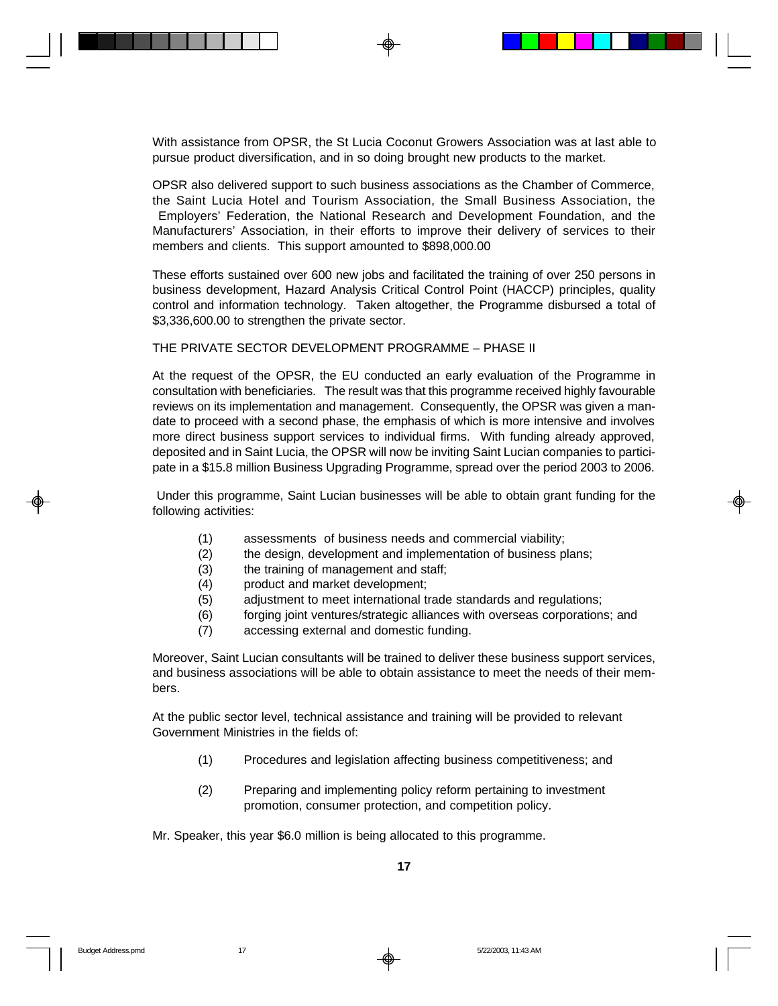With assistance from OPSR, the St Lucia Coconut Growers Association was at last able to pursue product diversification, and in so doing brought new products to the market.

OPSR also delivered support to such business associations as the Chamber of Commerce, the Saint Lucia Hotel and Tourism Association, the Small Business Association, the Employers' Federation, the National Research and Development Foundation, and the Manufacturers' Association, in their efforts to improve their delivery of services to their members and clients. This support amounted to \$898,000.00

These efforts sustained over 600 new jobs and facilitated the training of over 250 persons in business development, Hazard Analysis Critical Control Point (HACCP) principles, quality control and information technology. Taken altogether, the Programme disbursed a total of \$3,336,600.00 to strengthen the private sector.

THE PRIVATE SECTOR DEVELOPMENT PROGRAMME – PHASE II

At the request of the OPSR, the EU conducted an early evaluation of the Programme in consultation with beneficiaries. The result was that this programme received highly favourable reviews on its implementation and management. Consequently, the OPSR was given a mandate to proceed with a second phase, the emphasis of which is more intensive and involves more direct business support services to individual firms. With funding already approved, deposited and in Saint Lucia, the OPSR will now be inviting Saint Lucian companies to participate in a \$15.8 million Business Upgrading Programme, spread over the period 2003 to 2006.

 Under this programme, Saint Lucian businesses will be able to obtain grant funding for the following activities:

- (1) assessments of business needs and commercial viability;
- (2) the design, development and implementation of business plans;
- (3) the training of management and staff;
- (4) product and market development;
- (5) adjustment to meet international trade standards and regulations;
- (6) forging joint ventures/strategic alliances with overseas corporations; and
- (7) accessing external and domestic funding.

Moreover, Saint Lucian consultants will be trained to deliver these business support services, and business associations will be able to obtain assistance to meet the needs of their members.

At the public sector level, technical assistance and training will be provided to relevant Government Ministries in the fields of:

- (1) Procedures and legislation affecting business competitiveness; and
- (2) Preparing and implementing policy reform pertaining to investment promotion, consumer protection, and competition policy.

Mr. Speaker, this year \$6.0 million is being allocated to this programme.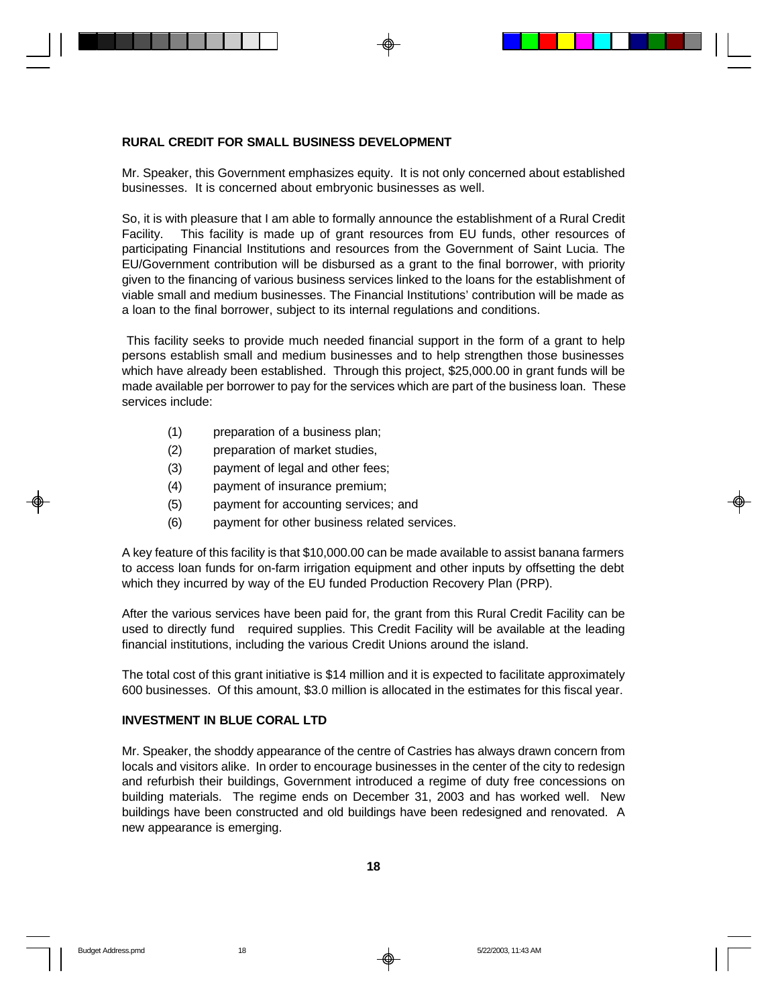#### **RURAL CREDIT FOR SMALL BUSINESS DEVELOPMENT**

Mr. Speaker, this Government emphasizes equity. It is not only concerned about established businesses. It is concerned about embryonic businesses as well.

So, it is with pleasure that I am able to formally announce the establishment of a Rural Credit Facility. This facility is made up of grant resources from EU funds, other resources of participating Financial Institutions and resources from the Government of Saint Lucia. The EU/Government contribution will be disbursed as a grant to the final borrower, with priority given to the financing of various business services linked to the loans for the establishment of viable small and medium businesses. The Financial Institutions' contribution will be made as a loan to the final borrower, subject to its internal regulations and conditions.

 This facility seeks to provide much needed financial support in the form of a grant to help persons establish small and medium businesses and to help strengthen those businesses which have already been established. Through this project, \$25,000.00 in grant funds will be made available per borrower to pay for the services which are part of the business loan. These services include:

- (1) preparation of a business plan;
- (2) preparation of market studies,
- (3) payment of legal and other fees;
- (4) payment of insurance premium;
- (5) payment for accounting services; and
- (6) payment for other business related services.

A key feature of this facility is that \$10,000.00 can be made available to assist banana farmers to access loan funds for on-farm irrigation equipment and other inputs by offsetting the debt which they incurred by way of the EU funded Production Recovery Plan (PRP).

After the various services have been paid for, the grant from this Rural Credit Facility can be used to directly fund required supplies. This Credit Facility will be available at the leading financial institutions, including the various Credit Unions around the island.

The total cost of this grant initiative is \$14 million and it is expected to facilitate approximately 600 businesses. Of this amount, \$3.0 million is allocated in the estimates for this fiscal year.

#### **INVESTMENT IN BLUE CORAL LTD**

Mr. Speaker, the shoddy appearance of the centre of Castries has always drawn concern from locals and visitors alike. In order to encourage businesses in the center of the city to redesign and refurbish their buildings, Government introduced a regime of duty free concessions on building materials. The regime ends on December 31, 2003 and has worked well. New buildings have been constructed and old buildings have been redesigned and renovated. A new appearance is emerging.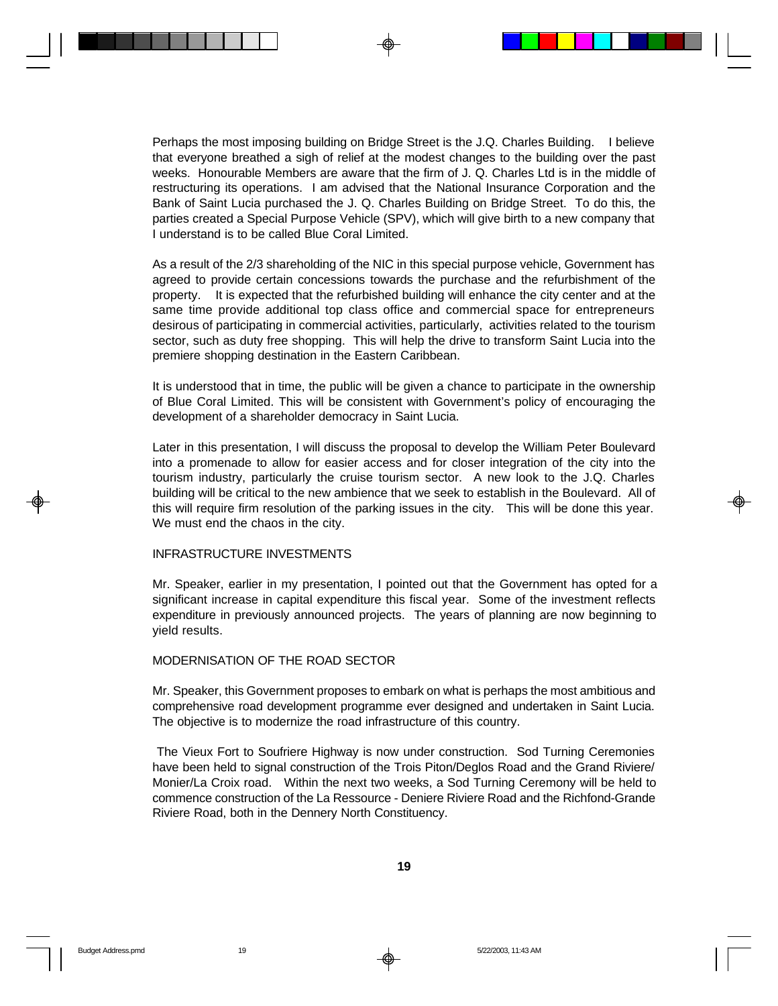Perhaps the most imposing building on Bridge Street is the J.Q. Charles Building. I believe that everyone breathed a sigh of relief at the modest changes to the building over the past weeks. Honourable Members are aware that the firm of J. Q. Charles Ltd is in the middle of restructuring its operations. I am advised that the National Insurance Corporation and the Bank of Saint Lucia purchased the J. Q. Charles Building on Bridge Street. To do this, the parties created a Special Purpose Vehicle (SPV), which will give birth to a new company that I understand is to be called Blue Coral Limited.

As a result of the 2/3 shareholding of the NIC in this special purpose vehicle, Government has agreed to provide certain concessions towards the purchase and the refurbishment of the property. It is expected that the refurbished building will enhance the city center and at the same time provide additional top class office and commercial space for entrepreneurs desirous of participating in commercial activities, particularly, activities related to the tourism sector, such as duty free shopping. This will help the drive to transform Saint Lucia into the premiere shopping destination in the Eastern Caribbean.

It is understood that in time, the public will be given a chance to participate in the ownership of Blue Coral Limited. This will be consistent with Government's policy of encouraging the development of a shareholder democracy in Saint Lucia.

Later in this presentation, I will discuss the proposal to develop the William Peter Boulevard into a promenade to allow for easier access and for closer integration of the city into the tourism industry, particularly the cruise tourism sector. A new look to the J.Q. Charles building will be critical to the new ambience that we seek to establish in the Boulevard. All of this will require firm resolution of the parking issues in the city. This will be done this year. We must end the chaos in the city.

#### INFRASTRUCTURE INVESTMENTS

Mr. Speaker, earlier in my presentation, I pointed out that the Government has opted for a significant increase in capital expenditure this fiscal year. Some of the investment reflects expenditure in previously announced projects. The years of planning are now beginning to yield results.

#### MODERNISATION OF THE ROAD SECTOR

Mr. Speaker, this Government proposes to embark on what is perhaps the most ambitious and comprehensive road development programme ever designed and undertaken in Saint Lucia. The objective is to modernize the road infrastructure of this country.

 The Vieux Fort to Soufriere Highway is now under construction. Sod Turning Ceremonies have been held to signal construction of the Trois Piton/Deglos Road and the Grand Riviere/ Monier/La Croix road. Within the next two weeks, a Sod Turning Ceremony will be held to commence construction of the La Ressource - Deniere Riviere Road and the Richfond-Grande Riviere Road, both in the Dennery North Constituency.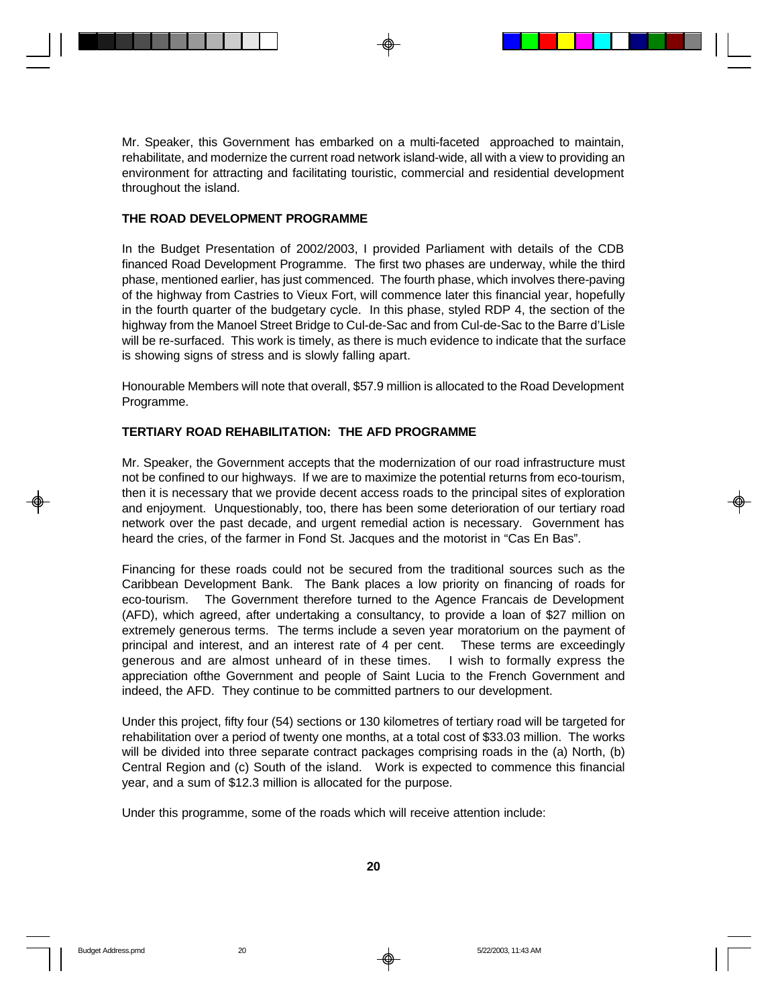Mr. Speaker, this Government has embarked on a multi-faceted approached to maintain, rehabilitate, and modernize the current road network island-wide, all with a view to providing an environment for attracting and facilitating touristic, commercial and residential development throughout the island.

#### **THE ROAD DEVELOPMENT PROGRAMME**

In the Budget Presentation of 2002/2003, I provided Parliament with details of the CDB financed Road Development Programme. The first two phases are underway, while the third phase, mentioned earlier, has just commenced. The fourth phase, which involves there-paving of the highway from Castries to Vieux Fort, will commence later this financial year, hopefully in the fourth quarter of the budgetary cycle. In this phase, styled RDP 4, the section of the highway from the Manoel Street Bridge to Cul-de-Sac and from Cul-de-Sac to the Barre d'Lisle will be re-surfaced. This work is timely, as there is much evidence to indicate that the surface is showing signs of stress and is slowly falling apart.

Honourable Members will note that overall, \$57.9 million is allocated to the Road Development Programme.

#### **TERTIARY ROAD REHABILITATION: THE AFD PROGRAMME**

Mr. Speaker, the Government accepts that the modernization of our road infrastructure must not be confined to our highways. If we are to maximize the potential returns from eco-tourism, then it is necessary that we provide decent access roads to the principal sites of exploration and enjoyment. Unquestionably, too, there has been some deterioration of our tertiary road network over the past decade, and urgent remedial action is necessary. Government has heard the cries, of the farmer in Fond St. Jacques and the motorist in "Cas En Bas".

Financing for these roads could not be secured from the traditional sources such as the Caribbean Development Bank. The Bank places a low priority on financing of roads for eco-tourism. The Government therefore turned to the Agence Francais de Development (AFD), which agreed, after undertaking a consultancy, to provide a loan of \$27 million on extremely generous terms. The terms include a seven year moratorium on the payment of principal and interest, and an interest rate of 4 per cent. These terms are exceedingly generous and are almost unheard of in these times. I wish to formally express the appreciation ofthe Government and people of Saint Lucia to the French Government and indeed, the AFD. They continue to be committed partners to our development.

Under this project, fifty four (54) sections or 130 kilometres of tertiary road will be targeted for rehabilitation over a period of twenty one months, at a total cost of \$33.03 million. The works will be divided into three separate contract packages comprising roads in the (a) North, (b) Central Region and (c) South of the island. Work is expected to commence this financial year, and a sum of \$12.3 million is allocated for the purpose.

Under this programme, some of the roads which will receive attention include: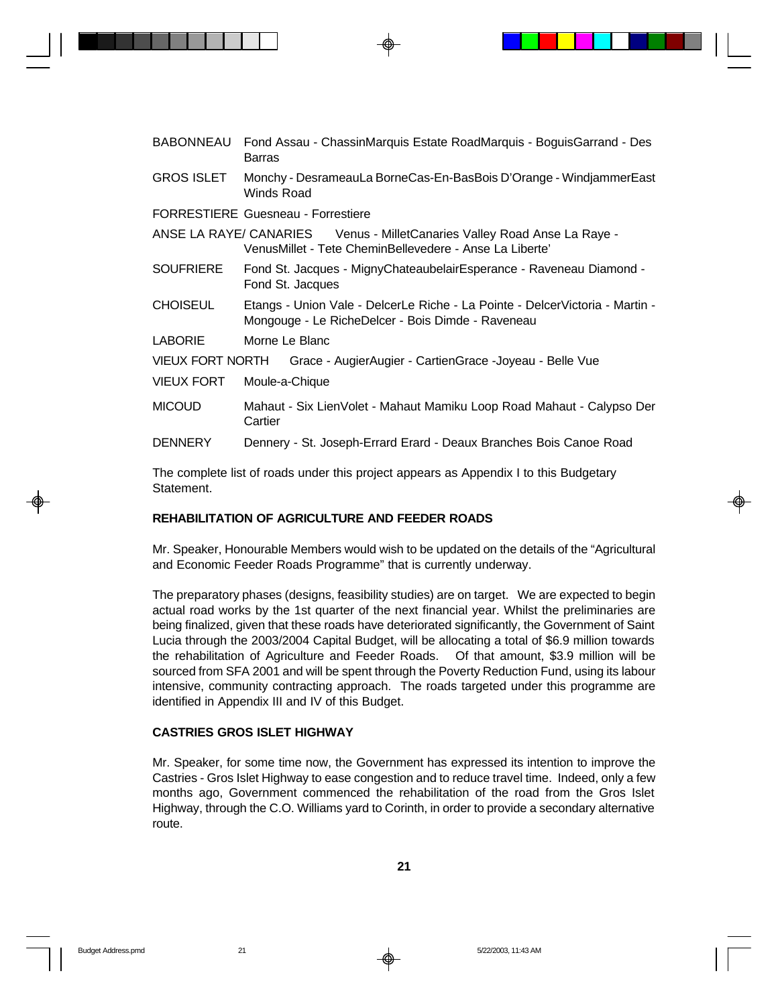|                   | BABONNEAU Fond Assau - ChassinMarquis Estate RoadMarquis - BoguisGarrand - Des<br><b>Barras</b>                                     |  |  |
|-------------------|-------------------------------------------------------------------------------------------------------------------------------------|--|--|
| <b>GROS ISLET</b> | Monchy - DesrameauLa BorneCas-En-BasBois D'Orange - WindjammerEast<br>Winds Road                                                    |  |  |
|                   | <b>FORRESTIERE Guesneau - Forrestiere</b>                                                                                           |  |  |
|                   | ANSE LA RAYE/ CANARIES Venus - MilletCanaries Valley Road Anse La Raye -<br>VenusMillet - Tete CheminBellevedere - Anse La Liberte' |  |  |
| <b>SOUFRIERE</b>  | Fond St. Jacques - MignyChateaubelairEsperance - Raveneau Diamond -<br>Fond St. Jacques                                             |  |  |
| <b>CHOISEUL</b>   | Etangs - Union Vale - DelcerLe Riche - La Pointe - DelcerVictoria - Martin -<br>Mongouge - Le RicheDelcer - Bois Dimde - Raveneau   |  |  |
| <b>LABORIE</b>    | Morne Le Blanc                                                                                                                      |  |  |
|                   | VIEUX FORT NORTH Grace - AugierAugier - CartienGrace - Joyeau - Belle Vue                                                           |  |  |
| <b>VIEUX FORT</b> | Moule-a-Chique                                                                                                                      |  |  |
| <b>MICOUD</b>     | Mahaut - Six LienVolet - Mahaut Mamiku Loop Road Mahaut - Calypso Der<br>Cartier                                                    |  |  |
| <b>DENNERY</b>    | Dennery - St. Joseph-Errard Erard - Deaux Branches Bois Canoe Road                                                                  |  |  |

The complete list of roads under this project appears as Appendix I to this Budgetary Statement.

### **REHABILITATION OF AGRICULTURE AND FEEDER ROADS**

Mr. Speaker, Honourable Members would wish to be updated on the details of the "Agricultural and Economic Feeder Roads Programme" that is currently underway.

The preparatory phases (designs, feasibility studies) are on target. We are expected to begin actual road works by the 1st quarter of the next financial year. Whilst the preliminaries are being finalized, given that these roads have deteriorated significantly, the Government of Saint Lucia through the 2003/2004 Capital Budget, will be allocating a total of \$6.9 million towards the rehabilitation of Agriculture and Feeder Roads. Of that amount, \$3.9 million will be sourced from SFA 2001 and will be spent through the Poverty Reduction Fund, using its labour intensive, community contracting approach. The roads targeted under this programme are identified in Appendix III and IV of this Budget.

#### **CASTRIES GROS ISLET HIGHWAY**

Mr. Speaker, for some time now, the Government has expressed its intention to improve the Castries - Gros Islet Highway to ease congestion and to reduce travel time. Indeed, only a few months ago, Government commenced the rehabilitation of the road from the Gros Islet Highway, through the C.O. Williams yard to Corinth, in order to provide a secondary alternative route.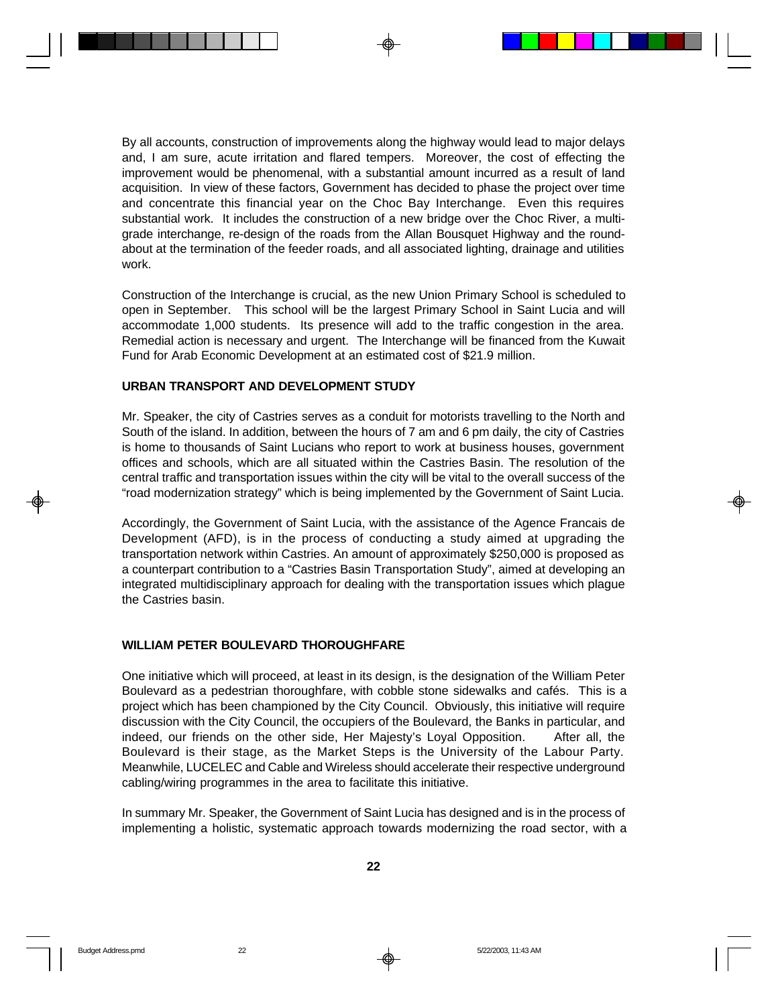By all accounts, construction of improvements along the highway would lead to major delays and, I am sure, acute irritation and flared tempers. Moreover, the cost of effecting the improvement would be phenomenal, with a substantial amount incurred as a result of land acquisition. In view of these factors, Government has decided to phase the project over time and concentrate this financial year on the Choc Bay Interchange. Even this requires substantial work. It includes the construction of a new bridge over the Choc River, a multigrade interchange, re-design of the roads from the Allan Bousquet Highway and the roundabout at the termination of the feeder roads, and all associated lighting, drainage and utilities work.

Construction of the Interchange is crucial, as the new Union Primary School is scheduled to open in September. This school will be the largest Primary School in Saint Lucia and will accommodate 1,000 students. Its presence will add to the traffic congestion in the area. Remedial action is necessary and urgent. The Interchange will be financed from the Kuwait Fund for Arab Economic Development at an estimated cost of \$21.9 million.

#### **URBAN TRANSPORT AND DEVELOPMENT STUDY**

Mr. Speaker, the city of Castries serves as a conduit for motorists travelling to the North and South of the island. In addition, between the hours of 7 am and 6 pm daily, the city of Castries is home to thousands of Saint Lucians who report to work at business houses, government offices and schools, which are all situated within the Castries Basin. The resolution of the central traffic and transportation issues within the city will be vital to the overall success of the "road modernization strategy" which is being implemented by the Government of Saint Lucia.

Accordingly, the Government of Saint Lucia, with the assistance of the Agence Francais de Development (AFD), is in the process of conducting a study aimed at upgrading the transportation network within Castries. An amount of approximately \$250,000 is proposed as a counterpart contribution to a "Castries Basin Transportation Study", aimed at developing an integrated multidisciplinary approach for dealing with the transportation issues which plague the Castries basin.

### **WILLIAM PETER BOULEVARD THOROUGHFARE**

One initiative which will proceed, at least in its design, is the designation of the William Peter Boulevard as a pedestrian thoroughfare, with cobble stone sidewalks and cafés. This is a project which has been championed by the City Council. Obviously, this initiative will require discussion with the City Council, the occupiers of the Boulevard, the Banks in particular, and indeed, our friends on the other side, Her Majesty's Loyal Opposition. After all, the Boulevard is their stage, as the Market Steps is the University of the Labour Party. Meanwhile, LUCELEC and Cable and Wireless should accelerate their respective underground cabling/wiring programmes in the area to facilitate this initiative.

In summary Mr. Speaker, the Government of Saint Lucia has designed and is in the process of implementing a holistic, systematic approach towards modernizing the road sector, with a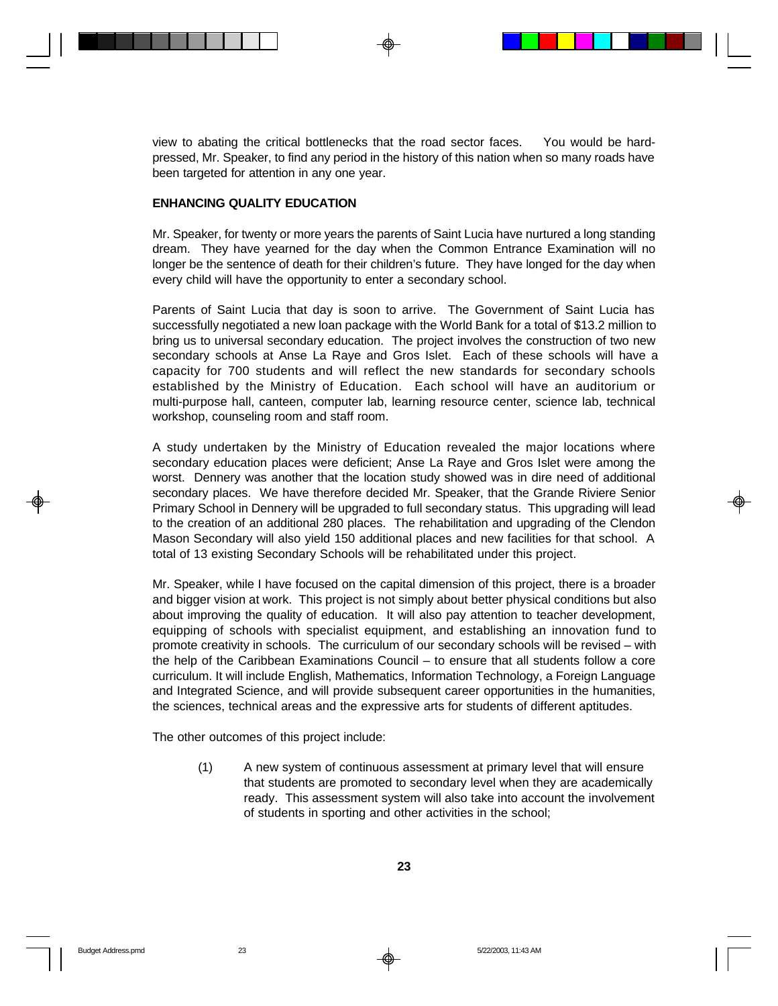view to abating the critical bottlenecks that the road sector faces. You would be hardpressed, Mr. Speaker, to find any period in the history of this nation when so many roads have been targeted for attention in any one year.

## **ENHANCING QUALITY EDUCATION**

Mr. Speaker, for twenty or more years the parents of Saint Lucia have nurtured a long standing dream. They have yearned for the day when the Common Entrance Examination will no longer be the sentence of death for their children's future. They have longed for the day when every child will have the opportunity to enter a secondary school.

Parents of Saint Lucia that day is soon to arrive. The Government of Saint Lucia has successfully negotiated a new loan package with the World Bank for a total of \$13.2 million to bring us to universal secondary education. The project involves the construction of two new secondary schools at Anse La Raye and Gros Islet. Each of these schools will have a capacity for 700 students and will reflect the new standards for secondary schools established by the Ministry of Education. Each school will have an auditorium or multi-purpose hall, canteen, computer lab, learning resource center, science lab, technical workshop, counseling room and staff room.

A study undertaken by the Ministry of Education revealed the major locations where secondary education places were deficient; Anse La Raye and Gros Islet were among the worst. Dennery was another that the location study showed was in dire need of additional secondary places. We have therefore decided Mr. Speaker, that the Grande Riviere Senior Primary School in Dennery will be upgraded to full secondary status. This upgrading will lead to the creation of an additional 280 places. The rehabilitation and upgrading of the Clendon Mason Secondary will also yield 150 additional places and new facilities for that school. A total of 13 existing Secondary Schools will be rehabilitated under this project.

Mr. Speaker, while I have focused on the capital dimension of this project, there is a broader and bigger vision at work. This project is not simply about better physical conditions but also about improving the quality of education. It will also pay attention to teacher development, equipping of schools with specialist equipment, and establishing an innovation fund to promote creativity in schools. The curriculum of our secondary schools will be revised – with the help of the Caribbean Examinations Council – to ensure that all students follow a core curriculum. It will include English, Mathematics, Information Technology, a Foreign Language and Integrated Science, and will provide subsequent career opportunities in the humanities, the sciences, technical areas and the expressive arts for students of different aptitudes.

The other outcomes of this project include:

(1) A new system of continuous assessment at primary level that will ensure that students are promoted to secondary level when they are academically ready. This assessment system will also take into account the involvement of students in sporting and other activities in the school;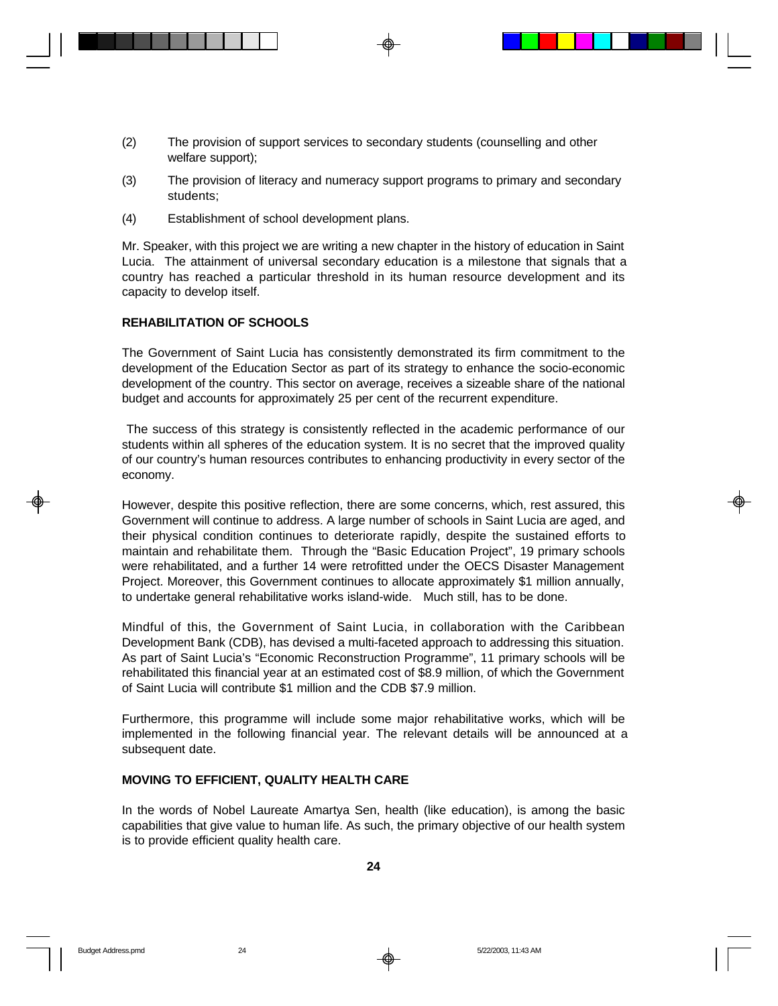- (2) The provision of support services to secondary students (counselling and other welfare support);
- (3) The provision of literacy and numeracy support programs to primary and secondary students;
- (4) Establishment of school development plans.

Mr. Speaker, with this project we are writing a new chapter in the history of education in Saint Lucia. The attainment of universal secondary education is a milestone that signals that a country has reached a particular threshold in its human resource development and its capacity to develop itself.

### **REHABILITATION OF SCHOOLS**

The Government of Saint Lucia has consistently demonstrated its firm commitment to the development of the Education Sector as part of its strategy to enhance the socio-economic development of the country. This sector on average, receives a sizeable share of the national budget and accounts for approximately 25 per cent of the recurrent expenditure.

 The success of this strategy is consistently reflected in the academic performance of our students within all spheres of the education system. It is no secret that the improved quality of our country's human resources contributes to enhancing productivity in every sector of the economy.

However, despite this positive reflection, there are some concerns, which, rest assured, this Government will continue to address. A large number of schools in Saint Lucia are aged, and their physical condition continues to deteriorate rapidly, despite the sustained efforts to maintain and rehabilitate them. Through the "Basic Education Project", 19 primary schools were rehabilitated, and a further 14 were retrofitted under the OECS Disaster Management Project. Moreover, this Government continues to allocate approximately \$1 million annually, to undertake general rehabilitative works island-wide. Much still, has to be done.

Mindful of this, the Government of Saint Lucia, in collaboration with the Caribbean Development Bank (CDB), has devised a multi-faceted approach to addressing this situation. As part of Saint Lucia's "Economic Reconstruction Programme", 11 primary schools will be rehabilitated this financial year at an estimated cost of \$8.9 million, of which the Government of Saint Lucia will contribute \$1 million and the CDB \$7.9 million.

Furthermore, this programme will include some major rehabilitative works, which will be implemented in the following financial year. The relevant details will be announced at a subsequent date.

#### **MOVING TO EFFICIENT, QUALITY HEALTH CARE**

In the words of Nobel Laureate Amartya Sen, health (like education), is among the basic capabilities that give value to human life. As such, the primary objective of our health system is to provide efficient quality health care.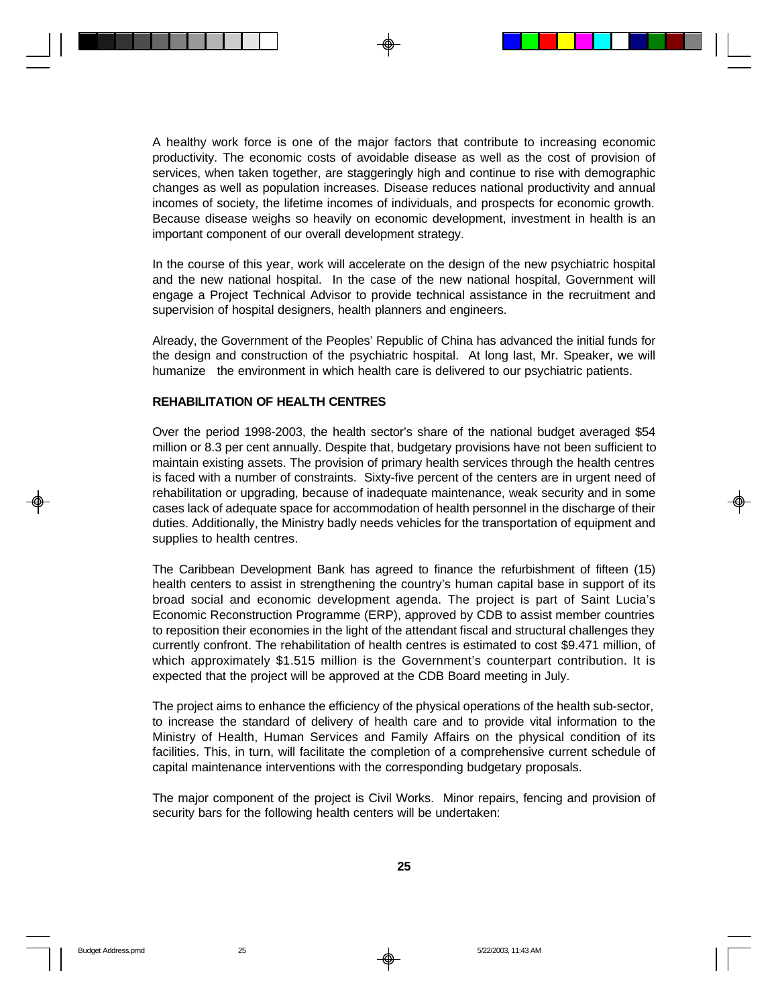A healthy work force is one of the major factors that contribute to increasing economic productivity. The economic costs of avoidable disease as well as the cost of provision of services, when taken together, are staggeringly high and continue to rise with demographic changes as well as population increases. Disease reduces national productivity and annual incomes of society, the lifetime incomes of individuals, and prospects for economic growth. Because disease weighs so heavily on economic development, investment in health is an important component of our overall development strategy.

In the course of this year, work will accelerate on the design of the new psychiatric hospital and the new national hospital. In the case of the new national hospital, Government will engage a Project Technical Advisor to provide technical assistance in the recruitment and supervision of hospital designers, health planners and engineers.

Already, the Government of the Peoples' Republic of China has advanced the initial funds for the design and construction of the psychiatric hospital. At long last, Mr. Speaker, we will humanize the environment in which health care is delivered to our psychiatric patients.

#### **REHABILITATION OF HEALTH CENTRES**

Over the period 1998-2003, the health sector's share of the national budget averaged \$54 million or 8.3 per cent annually. Despite that, budgetary provisions have not been sufficient to maintain existing assets. The provision of primary health services through the health centres is faced with a number of constraints. Sixty-five percent of the centers are in urgent need of rehabilitation or upgrading, because of inadequate maintenance, weak security and in some cases lack of adequate space for accommodation of health personnel in the discharge of their duties. Additionally, the Ministry badly needs vehicles for the transportation of equipment and supplies to health centres.

The Caribbean Development Bank has agreed to finance the refurbishment of fifteen (15) health centers to assist in strengthening the country's human capital base in support of its broad social and economic development agenda. The project is part of Saint Lucia's Economic Reconstruction Programme (ERP), approved by CDB to assist member countries to reposition their economies in the light of the attendant fiscal and structural challenges they currently confront. The rehabilitation of health centres is estimated to cost \$9.471 million, of which approximately \$1.515 million is the Government's counterpart contribution. It is expected that the project will be approved at the CDB Board meeting in July.

The project aims to enhance the efficiency of the physical operations of the health sub-sector, to increase the standard of delivery of health care and to provide vital information to the Ministry of Health, Human Services and Family Affairs on the physical condition of its facilities. This, in turn, will facilitate the completion of a comprehensive current schedule of capital maintenance interventions with the corresponding budgetary proposals.

The major component of the project is Civil Works. Minor repairs, fencing and provision of security bars for the following health centers will be undertaken: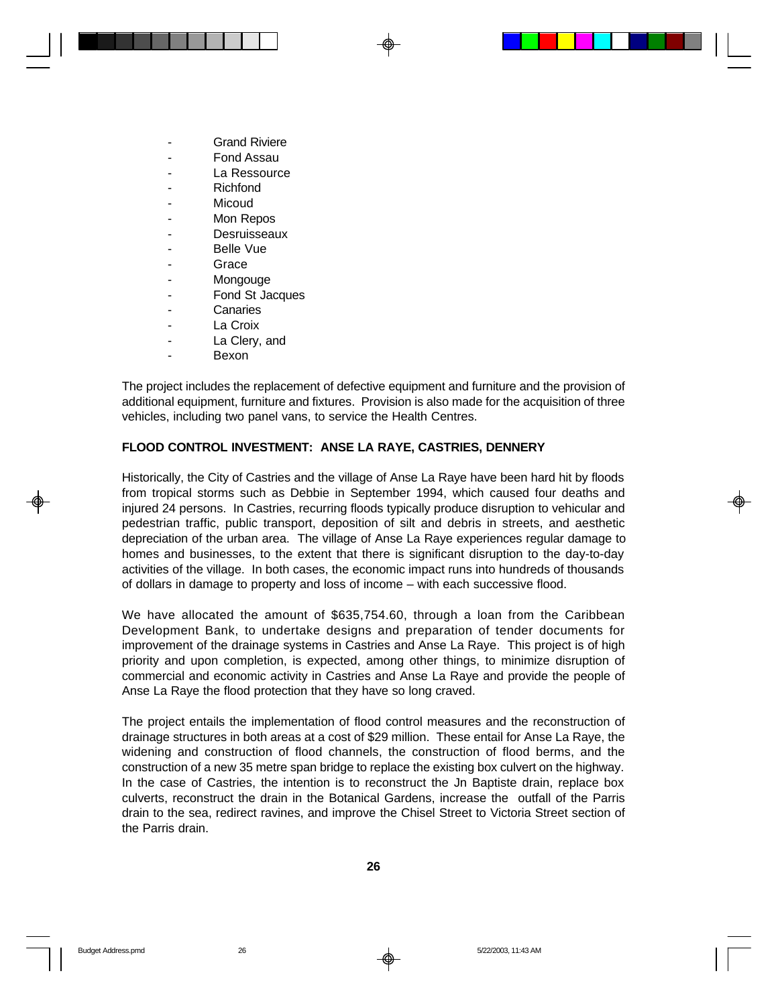- **Grand Riviere**
- Fond Assau
- La Ressource
- **Richfond**
- **Micoud**
- Mon Repos
- **Desruisseaux**
- Belle Vue
- **Grace**
- **Mongouge**
- Fond St Jacques
- **Canaries**
- La Croix
- La Clery, and
- **Bexon**

The project includes the replacement of defective equipment and furniture and the provision of additional equipment, furniture and fixtures. Provision is also made for the acquisition of three vehicles, including two panel vans, to service the Health Centres.

### **FLOOD CONTROL INVESTMENT: ANSE LA RAYE, CASTRIES, DENNERY**

Historically, the City of Castries and the village of Anse La Raye have been hard hit by floods from tropical storms such as Debbie in September 1994, which caused four deaths and injured 24 persons. In Castries, recurring floods typically produce disruption to vehicular and pedestrian traffic, public transport, deposition of silt and debris in streets, and aesthetic depreciation of the urban area. The village of Anse La Raye experiences regular damage to homes and businesses, to the extent that there is significant disruption to the day-to-day activities of the village. In both cases, the economic impact runs into hundreds of thousands of dollars in damage to property and loss of income – with each successive flood.

We have allocated the amount of \$635,754.60, through a loan from the Caribbean Development Bank, to undertake designs and preparation of tender documents for improvement of the drainage systems in Castries and Anse La Raye. This project is of high priority and upon completion, is expected, among other things, to minimize disruption of commercial and economic activity in Castries and Anse La Raye and provide the people of Anse La Raye the flood protection that they have so long craved.

The project entails the implementation of flood control measures and the reconstruction of drainage structures in both areas at a cost of \$29 million. These entail for Anse La Raye, the widening and construction of flood channels, the construction of flood berms, and the construction of a new 35 metre span bridge to replace the existing box culvert on the highway. In the case of Castries, the intention is to reconstruct the Jn Baptiste drain, replace box culverts, reconstruct the drain in the Botanical Gardens, increase the outfall of the Parris drain to the sea, redirect ravines, and improve the Chisel Street to Victoria Street section of the Parris drain.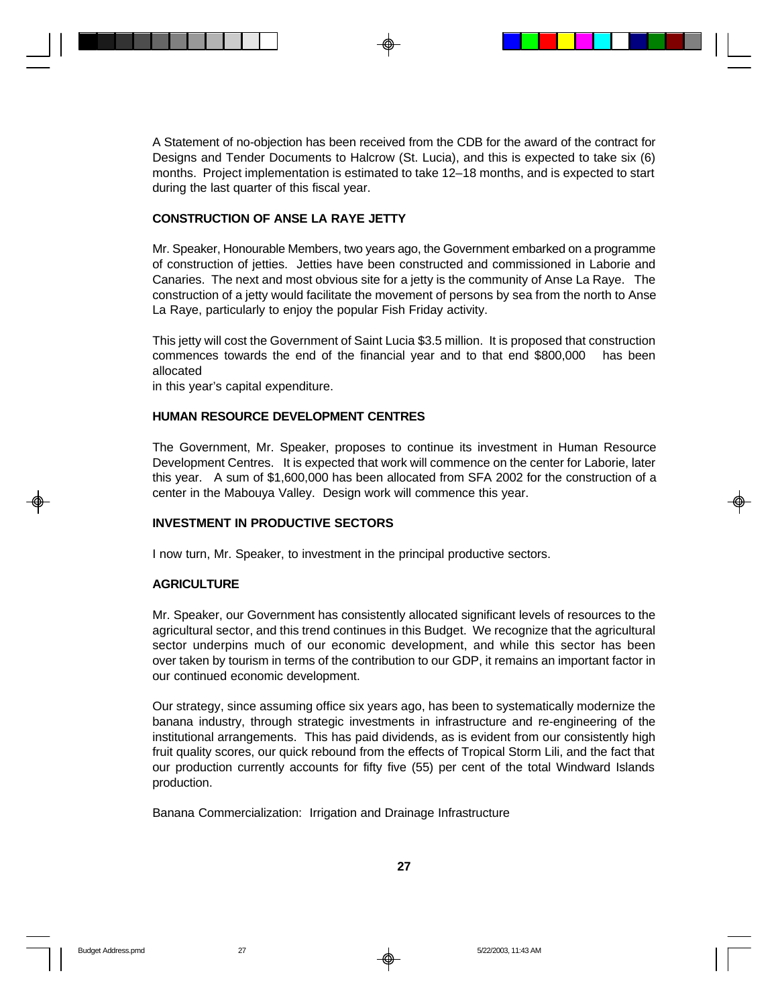A Statement of no-objection has been received from the CDB for the award of the contract for Designs and Tender Documents to Halcrow (St. Lucia), and this is expected to take six (6) months. Project implementation is estimated to take 12–18 months, and is expected to start during the last quarter of this fiscal year.

### **CONSTRUCTION OF ANSE LA RAYE JETTY**

Mr. Speaker, Honourable Members, two years ago, the Government embarked on a programme of construction of jetties. Jetties have been constructed and commissioned in Laborie and Canaries. The next and most obvious site for a jetty is the community of Anse La Raye. The construction of a jetty would facilitate the movement of persons by sea from the north to Anse La Raye, particularly to enjoy the popular Fish Friday activity.

This jetty will cost the Government of Saint Lucia \$3.5 million. It is proposed that construction commences towards the end of the financial year and to that end \$800,000 has been allocated

in this year's capital expenditure.

### **HUMAN RESOURCE DEVELOPMENT CENTRES**

The Government, Mr. Speaker, proposes to continue its investment in Human Resource Development Centres. It is expected that work will commence on the center for Laborie, later this year. A sum of \$1,600,000 has been allocated from SFA 2002 for the construction of a center in the Mabouya Valley. Design work will commence this year.

### **INVESTMENT IN PRODUCTIVE SECTORS**

I now turn, Mr. Speaker, to investment in the principal productive sectors.

#### **AGRICULTURE**

Mr. Speaker, our Government has consistently allocated significant levels of resources to the agricultural sector, and this trend continues in this Budget. We recognize that the agricultural sector underpins much of our economic development, and while this sector has been over taken by tourism in terms of the contribution to our GDP, it remains an important factor in our continued economic development.

Our strategy, since assuming office six years ago, has been to systematically modernize the banana industry, through strategic investments in infrastructure and re-engineering of the institutional arrangements. This has paid dividends, as is evident from our consistently high fruit quality scores, our quick rebound from the effects of Tropical Storm Lili, and the fact that our production currently accounts for fifty five (55) per cent of the total Windward Islands production.

Banana Commercialization: Irrigation and Drainage Infrastructure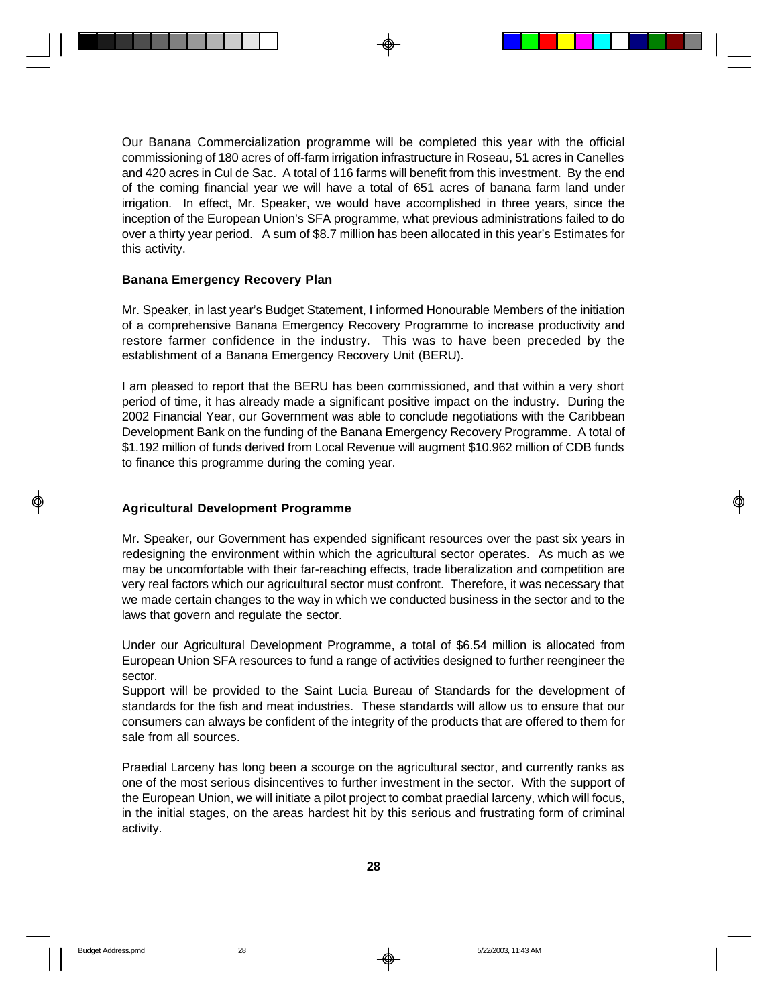Our Banana Commercialization programme will be completed this year with the official commissioning of 180 acres of off-farm irrigation infrastructure in Roseau, 51 acres in Canelles and 420 acres in Cul de Sac. A total of 116 farms will benefit from this investment. By the end of the coming financial year we will have a total of 651 acres of banana farm land under irrigation. In effect, Mr. Speaker, we would have accomplished in three years, since the inception of the European Union's SFA programme, what previous administrations failed to do over a thirty year period. A sum of \$8.7 million has been allocated in this year's Estimates for this activity.

#### **Banana Emergency Recovery Plan**

Mr. Speaker, in last year's Budget Statement, I informed Honourable Members of the initiation of a comprehensive Banana Emergency Recovery Programme to increase productivity and restore farmer confidence in the industry. This was to have been preceded by the establishment of a Banana Emergency Recovery Unit (BERU).

I am pleased to report that the BERU has been commissioned, and that within a very short period of time, it has already made a significant positive impact on the industry. During the 2002 Financial Year, our Government was able to conclude negotiations with the Caribbean Development Bank on the funding of the Banana Emergency Recovery Programme. A total of \$1.192 million of funds derived from Local Revenue will augment \$10.962 million of CDB funds to finance this programme during the coming year.

#### **Agricultural Development Programme**

Mr. Speaker, our Government has expended significant resources over the past six years in redesigning the environment within which the agricultural sector operates. As much as we may be uncomfortable with their far-reaching effects, trade liberalization and competition are very real factors which our agricultural sector must confront. Therefore, it was necessary that we made certain changes to the way in which we conducted business in the sector and to the laws that govern and regulate the sector.

Under our Agricultural Development Programme, a total of \$6.54 million is allocated from European Union SFA resources to fund a range of activities designed to further reengineer the sector.

Support will be provided to the Saint Lucia Bureau of Standards for the development of standards for the fish and meat industries. These standards will allow us to ensure that our consumers can always be confident of the integrity of the products that are offered to them for sale from all sources.

Praedial Larceny has long been a scourge on the agricultural sector, and currently ranks as one of the most serious disincentives to further investment in the sector. With the support of the European Union, we will initiate a pilot project to combat praedial larceny, which will focus, in the initial stages, on the areas hardest hit by this serious and frustrating form of criminal activity.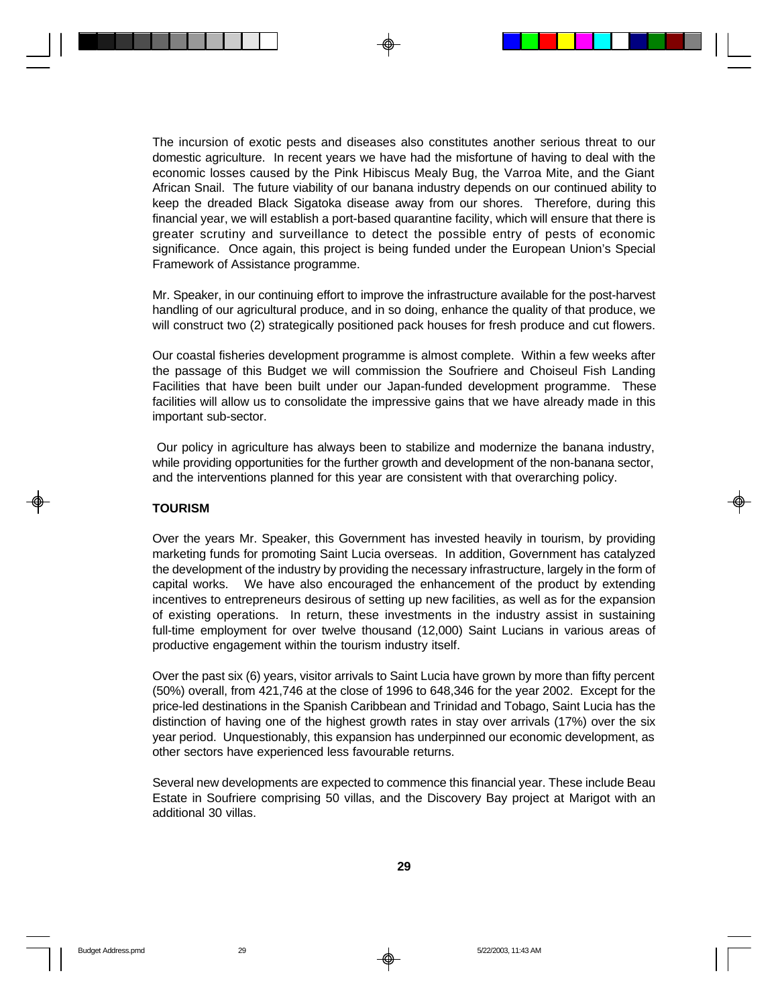The incursion of exotic pests and diseases also constitutes another serious threat to our domestic agriculture. In recent years we have had the misfortune of having to deal with the economic losses caused by the Pink Hibiscus Mealy Bug, the Varroa Mite, and the Giant African Snail. The future viability of our banana industry depends on our continued ability to keep the dreaded Black Sigatoka disease away from our shores. Therefore, during this financial year, we will establish a port-based quarantine facility, which will ensure that there is greater scrutiny and surveillance to detect the possible entry of pests of economic significance. Once again, this project is being funded under the European Union's Special Framework of Assistance programme.

Mr. Speaker, in our continuing effort to improve the infrastructure available for the post-harvest handling of our agricultural produce, and in so doing, enhance the quality of that produce, we will construct two (2) strategically positioned pack houses for fresh produce and cut flowers.

Our coastal fisheries development programme is almost complete. Within a few weeks after the passage of this Budget we will commission the Soufriere and Choiseul Fish Landing Facilities that have been built under our Japan-funded development programme. These facilities will allow us to consolidate the impressive gains that we have already made in this important sub-sector.

 Our policy in agriculture has always been to stabilize and modernize the banana industry, while providing opportunities for the further growth and development of the non-banana sector, and the interventions planned for this year are consistent with that overarching policy.

#### **TOURISM**

Over the years Mr. Speaker, this Government has invested heavily in tourism, by providing marketing funds for promoting Saint Lucia overseas. In addition, Government has catalyzed the development of the industry by providing the necessary infrastructure, largely in the form of capital works. We have also encouraged the enhancement of the product by extending incentives to entrepreneurs desirous of setting up new facilities, as well as for the expansion of existing operations. In return, these investments in the industry assist in sustaining full-time employment for over twelve thousand (12,000) Saint Lucians in various areas of productive engagement within the tourism industry itself.

Over the past six (6) years, visitor arrivals to Saint Lucia have grown by more than fifty percent (50%) overall, from 421,746 at the close of 1996 to 648,346 for the year 2002. Except for the price-led destinations in the Spanish Caribbean and Trinidad and Tobago, Saint Lucia has the distinction of having one of the highest growth rates in stay over arrivals (17%) over the six year period. Unquestionably, this expansion has underpinned our economic development, as other sectors have experienced less favourable returns.

Several new developments are expected to commence this financial year. These include Beau Estate in Soufriere comprising 50 villas, and the Discovery Bay project at Marigot with an additional 30 villas.

**29**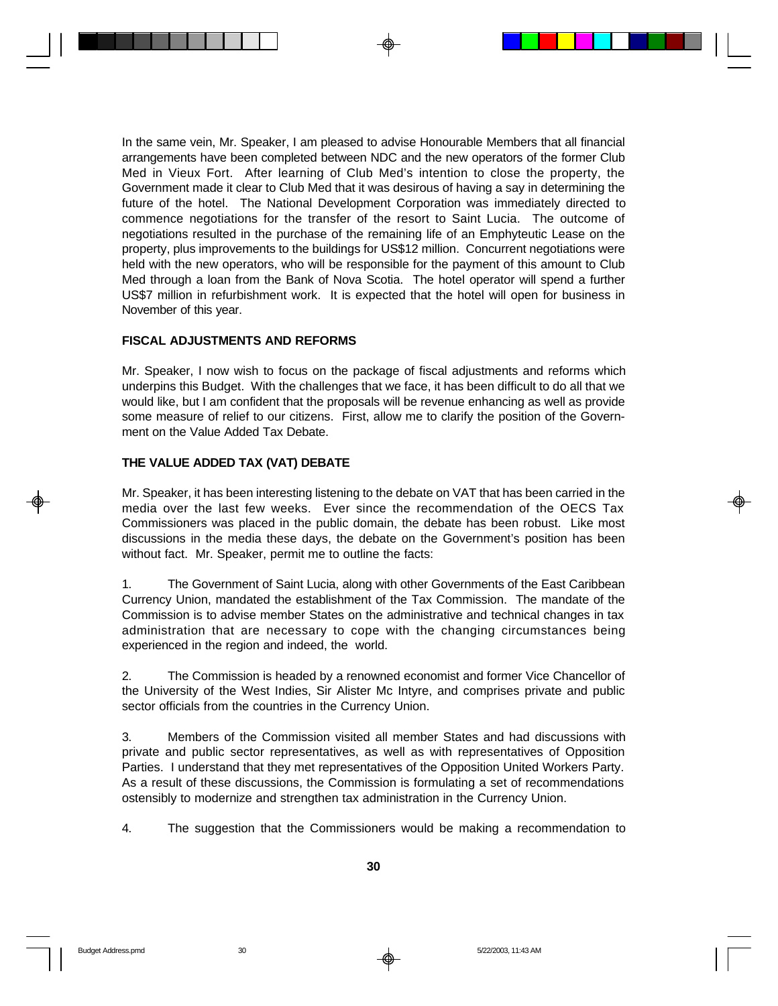In the same vein, Mr. Speaker, I am pleased to advise Honourable Members that all financial arrangements have been completed between NDC and the new operators of the former Club Med in Vieux Fort. After learning of Club Med's intention to close the property, the Government made it clear to Club Med that it was desirous of having a say in determining the future of the hotel. The National Development Corporation was immediately directed to commence negotiations for the transfer of the resort to Saint Lucia. The outcome of negotiations resulted in the purchase of the remaining life of an Emphyteutic Lease on the property, plus improvements to the buildings for US\$12 million. Concurrent negotiations were held with the new operators, who will be responsible for the payment of this amount to Club Med through a loan from the Bank of Nova Scotia. The hotel operator will spend a further US\$7 million in refurbishment work. It is expected that the hotel will open for business in November of this year.

#### **FISCAL ADJUSTMENTS AND REFORMS**

Mr. Speaker, I now wish to focus on the package of fiscal adjustments and reforms which underpins this Budget. With the challenges that we face, it has been difficult to do all that we would like, but I am confident that the proposals will be revenue enhancing as well as provide some measure of relief to our citizens. First, allow me to clarify the position of the Government on the Value Added Tax Debate.

#### **THE VALUE ADDED TAX (VAT) DEBATE**

Mr. Speaker, it has been interesting listening to the debate on VAT that has been carried in the media over the last few weeks. Ever since the recommendation of the OECS Tax Commissioners was placed in the public domain, the debate has been robust. Like most discussions in the media these days, the debate on the Government's position has been without fact. Mr. Speaker, permit me to outline the facts:

1. The Government of Saint Lucia, along with other Governments of the East Caribbean Currency Union, mandated the establishment of the Tax Commission. The mandate of the Commission is to advise member States on the administrative and technical changes in tax administration that are necessary to cope with the changing circumstances being experienced in the region and indeed, the world.

2. The Commission is headed by a renowned economist and former Vice Chancellor of the University of the West Indies, Sir Alister Mc Intyre, and comprises private and public sector officials from the countries in the Currency Union.

3. Members of the Commission visited all member States and had discussions with private and public sector representatives, as well as with representatives of Opposition Parties. I understand that they met representatives of the Opposition United Workers Party. As a result of these discussions, the Commission is formulating a set of recommendations ostensibly to modernize and strengthen tax administration in the Currency Union.

4. The suggestion that the Commissioners would be making a recommendation to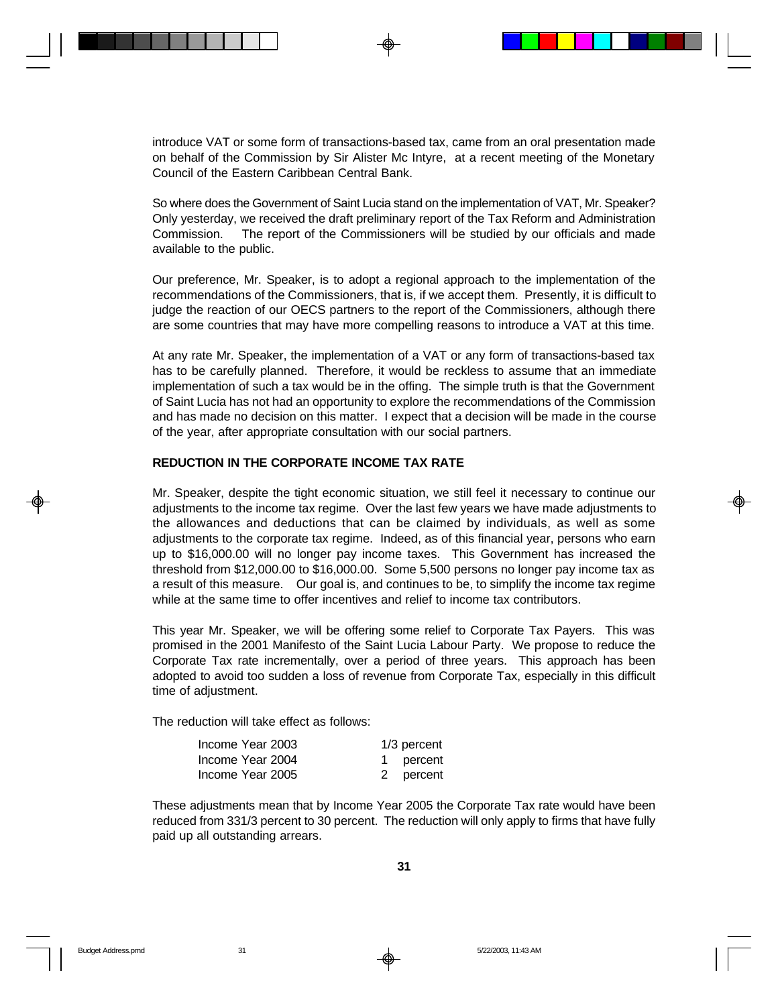introduce VAT or some form of transactions-based tax, came from an oral presentation made on behalf of the Commission by Sir Alister Mc Intyre, at a recent meeting of the Monetary Council of the Eastern Caribbean Central Bank.

So where does the Government of Saint Lucia stand on the implementation of VAT, Mr. Speaker? Only yesterday, we received the draft preliminary report of the Tax Reform and Administration Commission. The report of the Commissioners will be studied by our officials and made available to the public.

Our preference, Mr. Speaker, is to adopt a regional approach to the implementation of the recommendations of the Commissioners, that is, if we accept them. Presently, it is difficult to judge the reaction of our OECS partners to the report of the Commissioners, although there are some countries that may have more compelling reasons to introduce a VAT at this time.

At any rate Mr. Speaker, the implementation of a VAT or any form of transactions-based tax has to be carefully planned. Therefore, it would be reckless to assume that an immediate implementation of such a tax would be in the offing. The simple truth is that the Government of Saint Lucia has not had an opportunity to explore the recommendations of the Commission and has made no decision on this matter. I expect that a decision will be made in the course of the year, after appropriate consultation with our social partners.

#### **REDUCTION IN THE CORPORATE INCOME TAX RATE**

Mr. Speaker, despite the tight economic situation, we still feel it necessary to continue our adjustments to the income tax regime. Over the last few years we have made adjustments to the allowances and deductions that can be claimed by individuals, as well as some adjustments to the corporate tax regime. Indeed, as of this financial year, persons who earn up to \$16,000.00 will no longer pay income taxes. This Government has increased the threshold from \$12,000.00 to \$16,000.00. Some 5,500 persons no longer pay income tax as a result of this measure. Our goal is, and continues to be, to simplify the income tax regime while at the same time to offer incentives and relief to income tax contributors.

This year Mr. Speaker, we will be offering some relief to Corporate Tax Payers. This was promised in the 2001 Manifesto of the Saint Lucia Labour Party. We propose to reduce the Corporate Tax rate incrementally, over a period of three years. This approach has been adopted to avoid too sudden a loss of revenue from Corporate Tax, especially in this difficult time of adjustment.

The reduction will take effect as follows:

| Income Year 2003 | $1/3$ percent |
|------------------|---------------|
| Income Year 2004 | 1 percent     |
| Income Year 2005 | 2 percent     |

These adjustments mean that by Income Year 2005 the Corporate Tax rate would have been reduced from 331/3 percent to 30 percent. The reduction will only apply to firms that have fully paid up all outstanding arrears.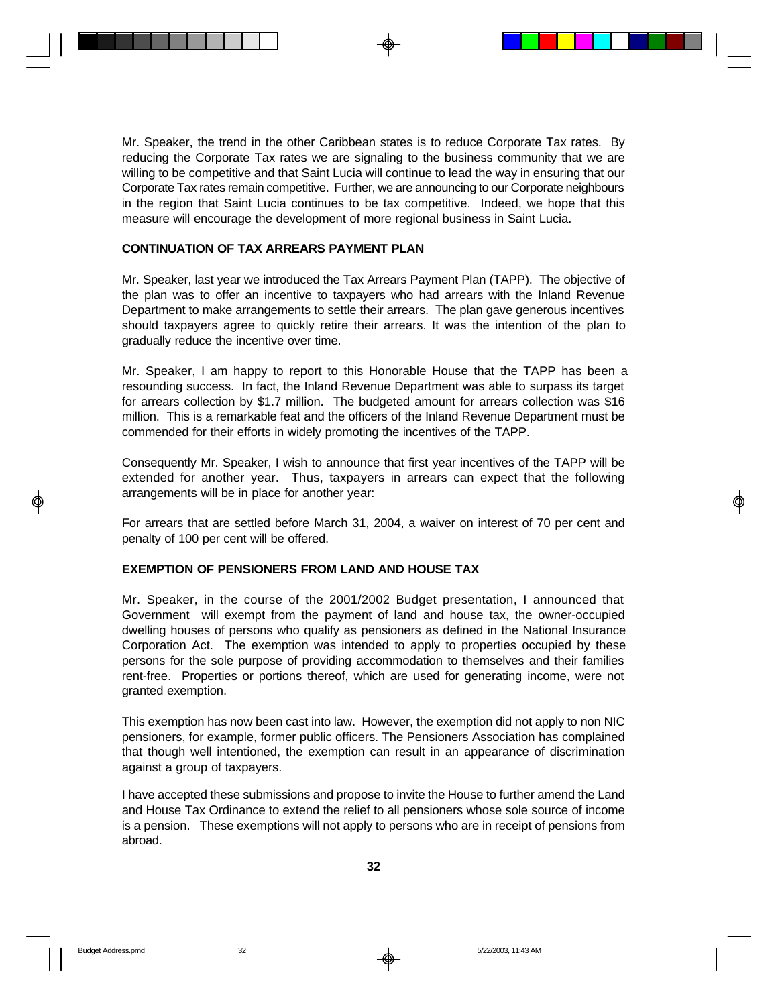Mr. Speaker, the trend in the other Caribbean states is to reduce Corporate Tax rates. By reducing the Corporate Tax rates we are signaling to the business community that we are willing to be competitive and that Saint Lucia will continue to lead the way in ensuring that our Corporate Tax rates remain competitive. Further, we are announcing to our Corporate neighbours in the region that Saint Lucia continues to be tax competitive. Indeed, we hope that this measure will encourage the development of more regional business in Saint Lucia.

#### **CONTINUATION OF TAX ARREARS PAYMENT PLAN**

Mr. Speaker, last year we introduced the Tax Arrears Payment Plan (TAPP). The objective of the plan was to offer an incentive to taxpayers who had arrears with the Inland Revenue Department to make arrangements to settle their arrears. The plan gave generous incentives should taxpayers agree to quickly retire their arrears. It was the intention of the plan to gradually reduce the incentive over time.

Mr. Speaker, I am happy to report to this Honorable House that the TAPP has been a resounding success. In fact, the Inland Revenue Department was able to surpass its target for arrears collection by \$1.7 million. The budgeted amount for arrears collection was \$16 million. This is a remarkable feat and the officers of the Inland Revenue Department must be commended for their efforts in widely promoting the incentives of the TAPP.

Consequently Mr. Speaker, I wish to announce that first year incentives of the TAPP will be extended for another year. Thus, taxpayers in arrears can expect that the following arrangements will be in place for another year:

For arrears that are settled before March 31, 2004, a waiver on interest of 70 per cent and penalty of 100 per cent will be offered.

### **EXEMPTION OF PENSIONERS FROM LAND AND HOUSE TAX**

Mr. Speaker, in the course of the 2001/2002 Budget presentation, I announced that Government will exempt from the payment of land and house tax, the owner-occupied dwelling houses of persons who qualify as pensioners as defined in the National Insurance Corporation Act. The exemption was intended to apply to properties occupied by these persons for the sole purpose of providing accommodation to themselves and their families rent-free. Properties or portions thereof, which are used for generating income, were not granted exemption.

This exemption has now been cast into law. However, the exemption did not apply to non NIC pensioners, for example, former public officers. The Pensioners Association has complained that though well intentioned, the exemption can result in an appearance of discrimination against a group of taxpayers.

I have accepted these submissions and propose to invite the House to further amend the Land and House Tax Ordinance to extend the relief to all pensioners whose sole source of income is a pension. These exemptions will not apply to persons who are in receipt of pensions from abroad.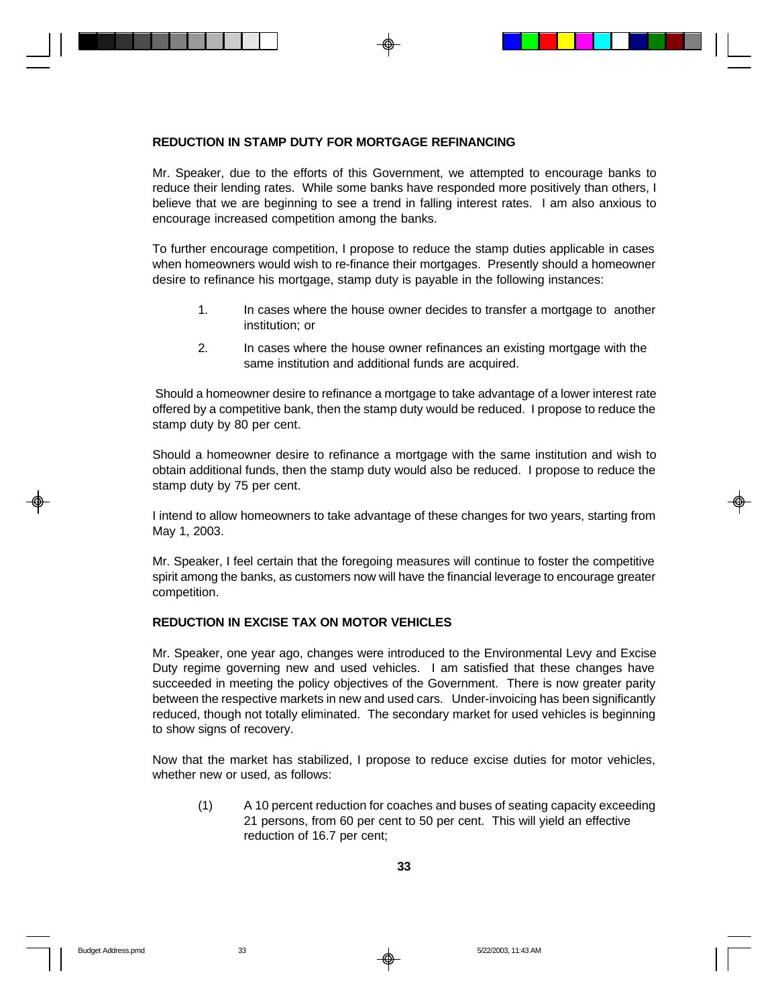### **REDUCTION IN STAMP DUTY FOR MORTGAGE REFINANCING**

Mr. Speaker, due to the efforts of this Government, we attempted to encourage banks to reduce their lending rates. While some banks have responded more positively than others, I believe that we are beginning to see a trend in falling interest rates. I am also anxious to encourage increased competition among the banks.

To further encourage competition, I propose to reduce the stamp duties applicable in cases when homeowners would wish to re-finance their mortgages. Presently should a homeowner desire to refinance his mortgage, stamp duty is payable in the following instances:

- 1. In cases where the house owner decides to transfer a mortgage to another institution; or
- 2. In cases where the house owner refinances an existing mortgage with the same institution and additional funds are acquired.

 Should a homeowner desire to refinance a mortgage to take advantage of a lower interest rate offered by a competitive bank, then the stamp duty would be reduced. I propose to reduce the stamp duty by 80 per cent.

Should a homeowner desire to refinance a mortgage with the same institution and wish to obtain additional funds, then the stamp duty would also be reduced. I propose to reduce the stamp duty by 75 per cent.

I intend to allow homeowners to take advantage of these changes for two years, starting from May 1, 2003.

Mr. Speaker, I feel certain that the foregoing measures will continue to foster the competitive spirit among the banks, as customers now will have the financial leverage to encourage greater competition.

# **REDUCTION IN EXCISE TAX ON MOTOR VEHICLES**

Mr. Speaker, one year ago, changes were introduced to the Environmental Levy and Excise Duty regime governing new and used vehicles. I am satisfied that these changes have succeeded in meeting the policy objectives of the Government. There is now greater parity between the respective markets in new and used cars. Under-invoicing has been significantly reduced, though not totally eliminated. The secondary market for used vehicles is beginning to show signs of recovery.

Now that the market has stabilized, I propose to reduce excise duties for motor vehicles, whether new or used, as follows:

(1) A 10 percent reduction for coaches and buses of seating capacity exceeding 21 persons, from 60 per cent to 50 per cent. This will yield an effective reduction of 16.7 per cent;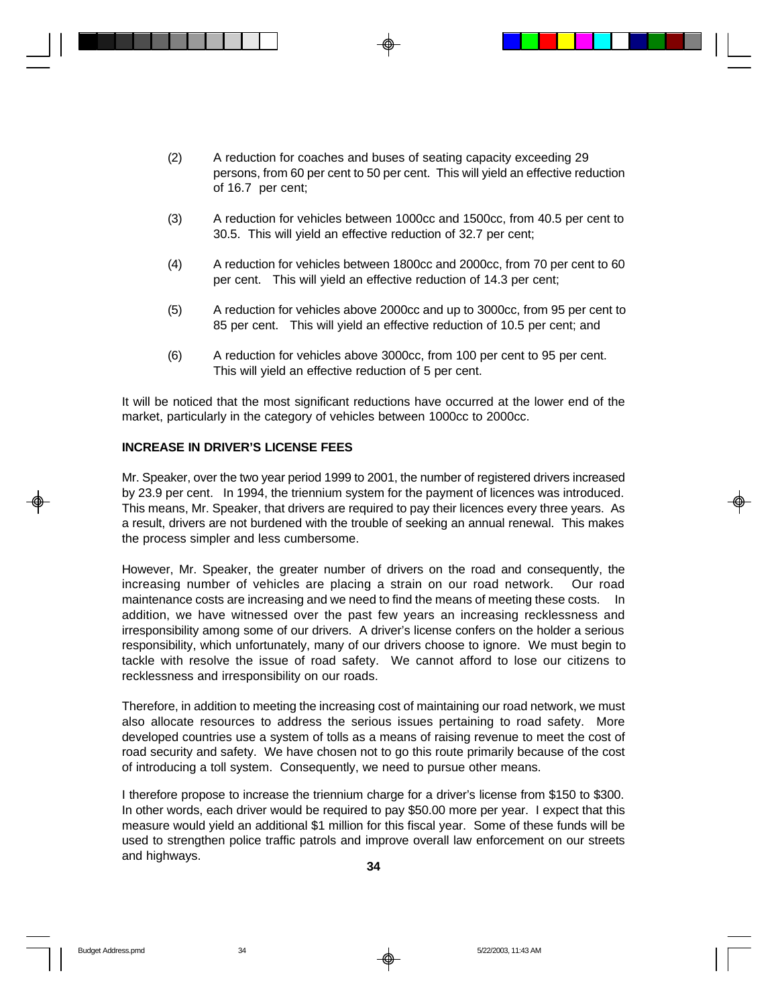- (2) A reduction for coaches and buses of seating capacity exceeding 29 persons, from 60 per cent to 50 per cent. This will yield an effective reduction of 16.7 per cent;
- (3) A reduction for vehicles between 1000cc and 1500cc, from 40.5 per cent to 30.5. This will yield an effective reduction of 32.7 per cent;
- (4) A reduction for vehicles between 1800cc and 2000cc, from 70 per cent to 60 per cent. This will yield an effective reduction of 14.3 per cent;
- (5) A reduction for vehicles above 2000cc and up to 3000cc, from 95 per cent to 85 per cent. This will yield an effective reduction of 10.5 per cent; and
- (6) A reduction for vehicles above 3000cc, from 100 per cent to 95 per cent. This will yield an effective reduction of 5 per cent.

It will be noticed that the most significant reductions have occurred at the lower end of the market, particularly in the category of vehicles between 1000cc to 2000cc.

### **INCREASE IN DRIVER'S LICENSE FEES**

Mr. Speaker, over the two year period 1999 to 2001, the number of registered drivers increased by 23.9 per cent. In 1994, the triennium system for the payment of licences was introduced. This means, Mr. Speaker, that drivers are required to pay their licences every three years. As a result, drivers are not burdened with the trouble of seeking an annual renewal. This makes the process simpler and less cumbersome.

However, Mr. Speaker, the greater number of drivers on the road and consequently, the increasing number of vehicles are placing a strain on our road network. Our road maintenance costs are increasing and we need to find the means of meeting these costs. In addition, we have witnessed over the past few years an increasing recklessness and irresponsibility among some of our drivers. A driver's license confers on the holder a serious responsibility, which unfortunately, many of our drivers choose to ignore. We must begin to tackle with resolve the issue of road safety. We cannot afford to lose our citizens to recklessness and irresponsibility on our roads.

Therefore, in addition to meeting the increasing cost of maintaining our road network, we must also allocate resources to address the serious issues pertaining to road safety. More developed countries use a system of tolls as a means of raising revenue to meet the cost of road security and safety. We have chosen not to go this route primarily because of the cost of introducing a toll system. Consequently, we need to pursue other means.

I therefore propose to increase the triennium charge for a driver's license from \$150 to \$300. In other words, each driver would be required to pay \$50.00 more per year. I expect that this measure would yield an additional \$1 million for this fiscal year. Some of these funds will be used to strengthen police traffic patrols and improve overall law enforcement on our streets and highways.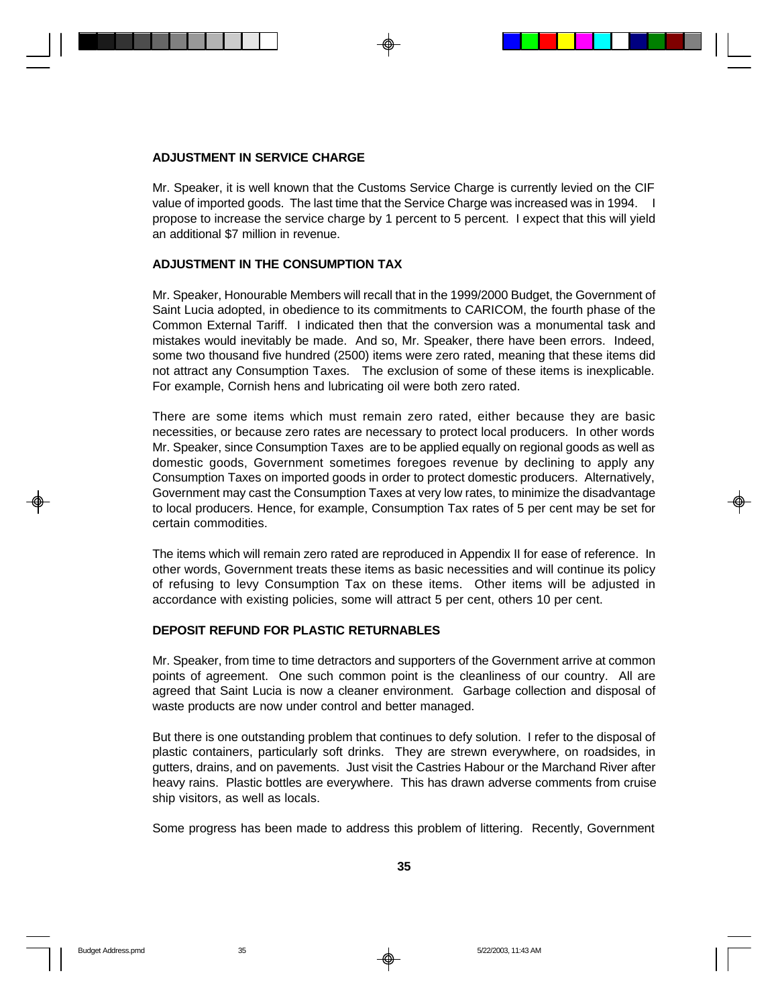#### **ADJUSTMENT IN SERVICE CHARGE**

Mr. Speaker, it is well known that the Customs Service Charge is currently levied on the CIF value of imported goods. The last time that the Service Charge was increased was in 1994. I propose to increase the service charge by 1 percent to 5 percent. I expect that this will yield an additional \$7 million in revenue.

### **ADJUSTMENT IN THE CONSUMPTION TAX**

Mr. Speaker, Honourable Members will recall that in the 1999/2000 Budget, the Government of Saint Lucia adopted, in obedience to its commitments to CARICOM, the fourth phase of the Common External Tariff. I indicated then that the conversion was a monumental task and mistakes would inevitably be made. And so, Mr. Speaker, there have been errors. Indeed, some two thousand five hundred (2500) items were zero rated, meaning that these items did not attract any Consumption Taxes. The exclusion of some of these items is inexplicable. For example, Cornish hens and lubricating oil were both zero rated.

There are some items which must remain zero rated, either because they are basic necessities, or because zero rates are necessary to protect local producers. In other words Mr. Speaker, since Consumption Taxes are to be applied equally on regional goods as well as domestic goods, Government sometimes foregoes revenue by declining to apply any Consumption Taxes on imported goods in order to protect domestic producers. Alternatively, Government may cast the Consumption Taxes at very low rates, to minimize the disadvantage to local producers. Hence, for example, Consumption Tax rates of 5 per cent may be set for certain commodities.

The items which will remain zero rated are reproduced in Appendix II for ease of reference. In other words, Government treats these items as basic necessities and will continue its policy of refusing to levy Consumption Tax on these items. Other items will be adjusted in accordance with existing policies, some will attract 5 per cent, others 10 per cent.

#### **DEPOSIT REFUND FOR PLASTIC RETURNABLES**

Mr. Speaker, from time to time detractors and supporters of the Government arrive at common points of agreement. One such common point is the cleanliness of our country. All are agreed that Saint Lucia is now a cleaner environment. Garbage collection and disposal of waste products are now under control and better managed.

But there is one outstanding problem that continues to defy solution. I refer to the disposal of plastic containers, particularly soft drinks. They are strewn everywhere, on roadsides, in gutters, drains, and on pavements. Just visit the Castries Habour or the Marchand River after heavy rains. Plastic bottles are everywhere. This has drawn adverse comments from cruise ship visitors, as well as locals.

Some progress has been made to address this problem of littering. Recently, Government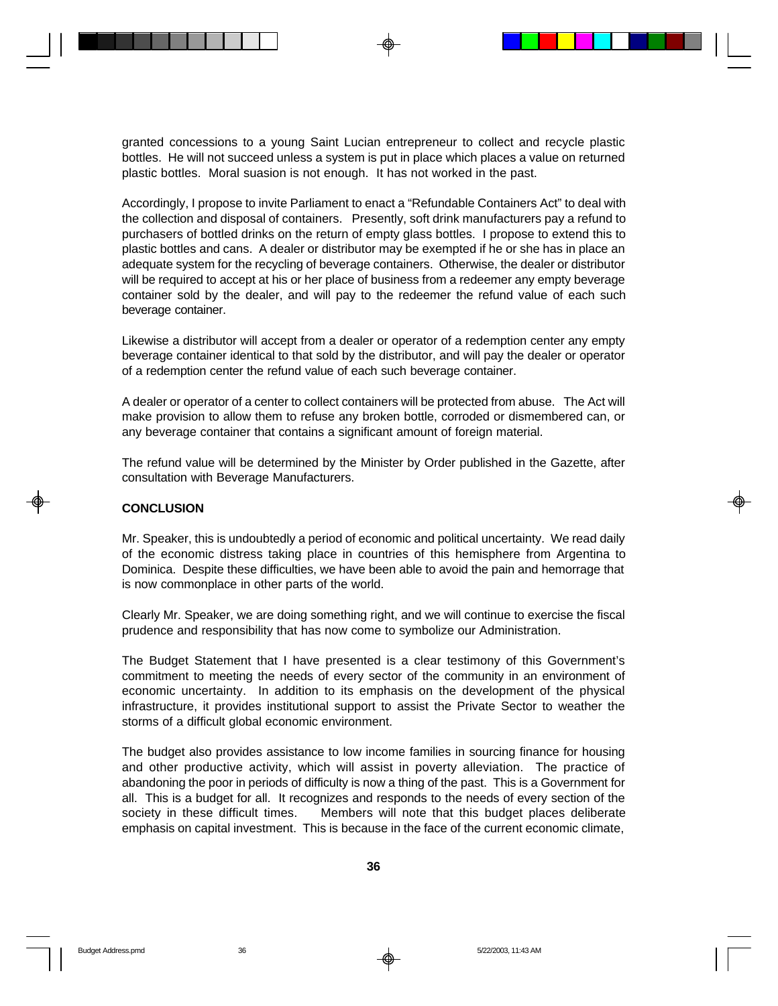granted concessions to a young Saint Lucian entrepreneur to collect and recycle plastic bottles. He will not succeed unless a system is put in place which places a value on returned plastic bottles. Moral suasion is not enough. It has not worked in the past.

Accordingly, I propose to invite Parliament to enact a "Refundable Containers Act" to deal with the collection and disposal of containers. Presently, soft drink manufacturers pay a refund to purchasers of bottled drinks on the return of empty glass bottles. I propose to extend this to plastic bottles and cans. A dealer or distributor may be exempted if he or she has in place an adequate system for the recycling of beverage containers. Otherwise, the dealer or distributor will be required to accept at his or her place of business from a redeemer any empty beverage container sold by the dealer, and will pay to the redeemer the refund value of each such beverage container.

Likewise a distributor will accept from a dealer or operator of a redemption center any empty beverage container identical to that sold by the distributor, and will pay the dealer or operator of a redemption center the refund value of each such beverage container.

A dealer or operator of a center to collect containers will be protected from abuse. The Act will make provision to allow them to refuse any broken bottle, corroded or dismembered can, or any beverage container that contains a significant amount of foreign material.

The refund value will be determined by the Minister by Order published in the Gazette, after consultation with Beverage Manufacturers.

#### **CONCLUSION**

Mr. Speaker, this is undoubtedly a period of economic and political uncertainty. We read daily of the economic distress taking place in countries of this hemisphere from Argentina to Dominica. Despite these difficulties, we have been able to avoid the pain and hemorrage that is now commonplace in other parts of the world.

Clearly Mr. Speaker, we are doing something right, and we will continue to exercise the fiscal prudence and responsibility that has now come to symbolize our Administration.

The Budget Statement that I have presented is a clear testimony of this Government's commitment to meeting the needs of every sector of the community in an environment of economic uncertainty. In addition to its emphasis on the development of the physical infrastructure, it provides institutional support to assist the Private Sector to weather the storms of a difficult global economic environment.

The budget also provides assistance to low income families in sourcing finance for housing and other productive activity, which will assist in poverty alleviation. The practice of abandoning the poor in periods of difficulty is now a thing of the past. This is a Government for all. This is a budget for all. It recognizes and responds to the needs of every section of the society in these difficult times. Members will note that this budget places deliberate emphasis on capital investment. This is because in the face of the current economic climate,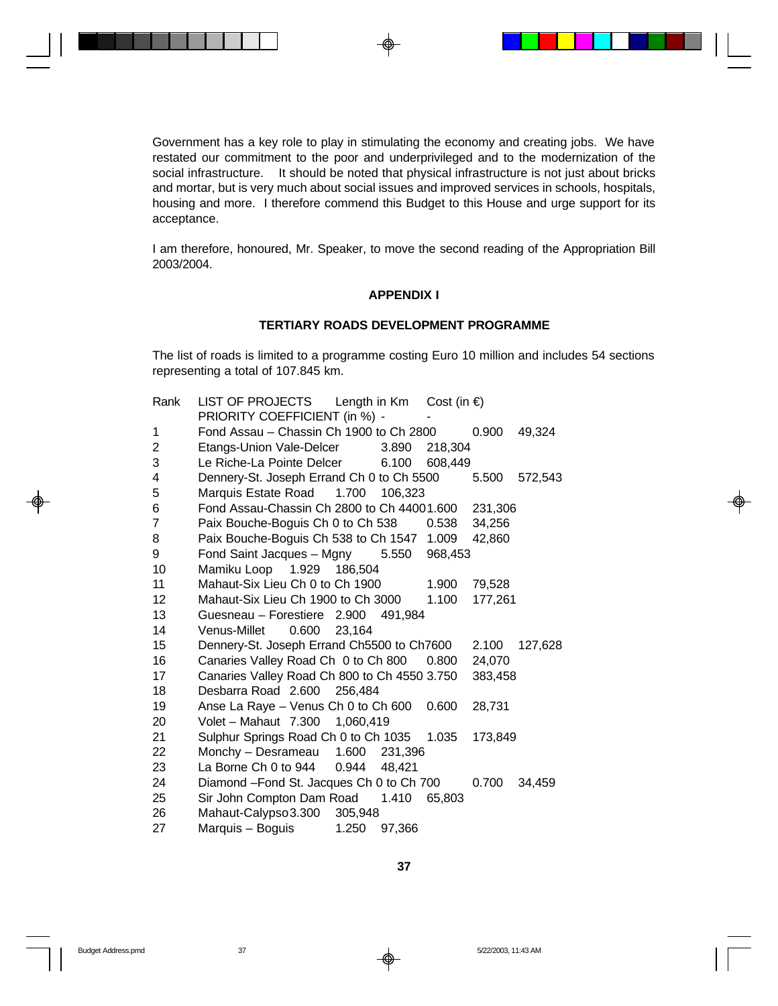Government has a key role to play in stimulating the economy and creating jobs. We have restated our commitment to the poor and underprivileged and to the modernization of the social infrastructure. It should be noted that physical infrastructure is not just about bricks and mortar, but is very much about social issues and improved services in schools, hospitals, housing and more. I therefore commend this Budget to this House and urge support for its acceptance.

I am therefore, honoured, Mr. Speaker, to move the second reading of the Appropriation Bill 2003/2004.

### **APPENDIX I**

#### **TERTIARY ROADS DEVELOPMENT PROGRAMME**

The list of roads is limited to a programme costing Euro 10 million and includes 54 sections representing a total of 107.845 km.

| Rank           | LIST OF PROJECTS<br>Length in Km Cost (in $\epsilon$ ) |         |         |         |         |
|----------------|--------------------------------------------------------|---------|---------|---------|---------|
|                | PRIORITY COEFFICIENT (in %) -                          |         |         |         |         |
| 1              | Fond Assau - Chassin Ch 1900 to Ch 2800                |         |         | 0.900   | 49,324  |
| $\overline{c}$ | Etangs-Union Vale-Delcer                               | 3.890   | 218,304 |         |         |
| 3              | Le Riche-La Pointe Delcer                              | 6.100   | 608,449 |         |         |
| 4              | Dennery-St. Joseph Errand Ch 0 to Ch 5500              |         |         | 5.500   | 572,543 |
| 5              | 1.700<br>Marquis Estate Road                           | 106,323 |         |         |         |
| 6              | Fond Assau-Chassin Ch 2800 to Ch 44001.600             |         |         | 231,306 |         |
| 7              | Paix Bouche-Boguis Ch 0 to Ch 538                      |         | 0.538   | 34,256  |         |
| 8              | Paix Bouche-Boguis Ch 538 to Ch 1547 1.009             |         |         | 42,860  |         |
| 9              | Fond Saint Jacques - Mgny 5.550                        |         | 968,453 |         |         |
| 10             | Mamiku Loop 1.929 186,504                              |         |         |         |         |
| 11             | Mahaut-Six Lieu Ch 0 to Ch 1900                        |         | 1.900   | 79,528  |         |
| 12             | Mahaut-Six Lieu Ch 1900 to Ch 3000                     |         | 1.100   | 177,261 |         |
| 13             | Guesneau - Forestiere 2.900 491,984                    |         |         |         |         |
| 14             | Venus-Millet<br>0.600<br>23.164                        |         |         |         |         |
| 15             | Dennery-St. Joseph Errand Ch5500 to Ch7600             |         |         | 2.100   | 127,628 |
| 16             | Canaries Valley Road Ch 0 to Ch 800                    |         | 0.800   | 24,070  |         |
| 17             | Canaries Valley Road Ch 800 to Ch 4550 3.750           |         |         | 383,458 |         |
| 18             | Desbarra Road 2.600<br>256,484                         |         |         |         |         |
| 19             | Anse La Raye - Venus Ch 0 to Ch 600                    |         | 0.600   | 28,731  |         |
| 20             | Volet - Mahaut 7.300 1,060,419                         |         |         |         |         |
| 21             | Sulphur Springs Road Ch 0 to Ch 1035                   |         | 1.035   | 173,849 |         |
| 22             | Monchy - Desrameau 1.600                               | 231,396 |         |         |         |
| 23             | La Borne Ch 0 to 944<br>0.944                          | 48.421  |         |         |         |
| 24             | Diamond -Fond St. Jacques Ch 0 to Ch 700               |         |         | 0.700   | 34,459  |
| 25             | Sir John Compton Dam Road 1.410                        |         | 65,803  |         |         |
| 26             | Mahaut-Calypso 3.300<br>305,948                        |         |         |         |         |
| 27             | Marquis – Boguis<br>1.250                              | 97,366  |         |         |         |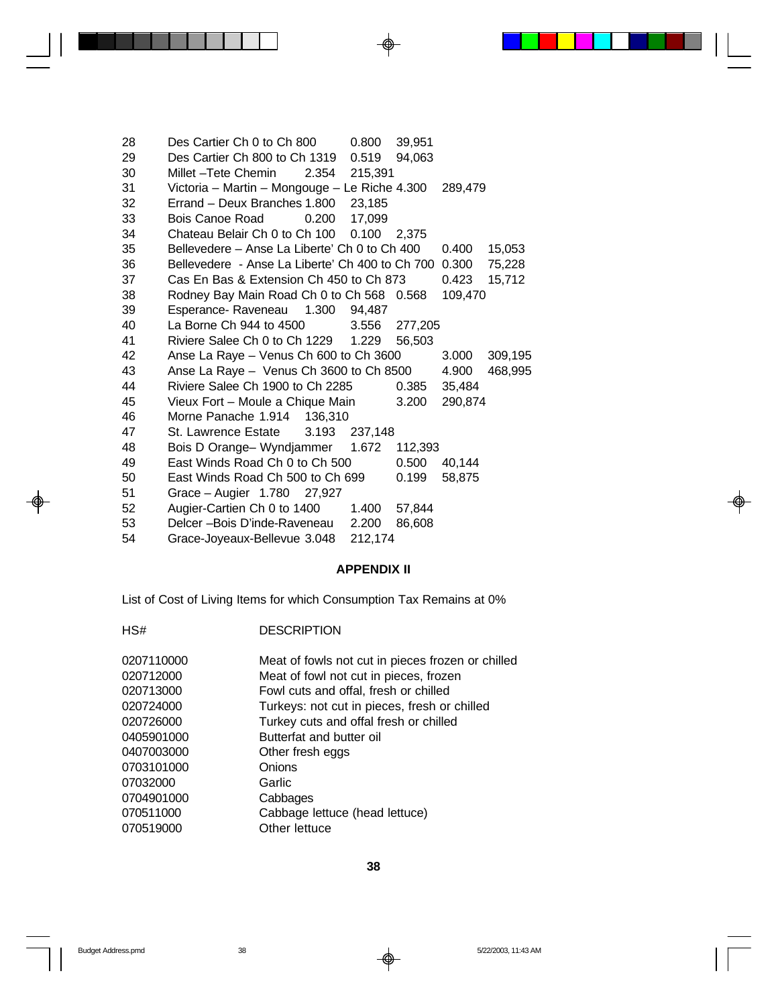| 28 | Des Cartier Ch 0 to Ch 800                            | 0.800         | 39,951        |         |         |
|----|-------------------------------------------------------|---------------|---------------|---------|---------|
| 29 | Des Cartier Ch 800 to Ch 1319                         | 0.519         | 94,063        |         |         |
| 30 | Millet –Tete Chemin<br>2.354                          | 215,391       |               |         |         |
| 31 | Victoria - Martin - Mongouge - Le Riche 4.300         |               |               | 289,479 |         |
| 32 | Errand - Deux Branches 1.800 23,185                   |               |               |         |         |
| 33 | Bois Canoe Road<br>0.200                              | 17.099        |               |         |         |
| 34 | Chateau Belair Ch 0 to Ch 100                         | 0.100 2.375   |               |         |         |
| 35 | Bellevedere - Anse La Liberte' Ch 0 to Ch 400         |               |               | 0.400   | 15,053  |
| 36 | Bellevedere - Anse La Liberte' Ch 400 to Ch 700 0.300 |               |               |         | 75,228  |
| 37 | Cas En Bas & Extension Ch 450 to Ch 873               |               |               | 0.423   | 15,712  |
| 38 | Rodney Bay Main Road Ch 0 to Ch 568 0.568             |               |               | 109,470 |         |
| 39 | Esperance-Raveneau 1.300 94,487                       |               |               |         |         |
| 40 | La Borne Ch 944 to 4500                               |               | 3.556 277,205 |         |         |
| 41 | Riviere Salee Ch 0 to Ch 1229 1.229                   |               | 56,503        |         |         |
| 42 | Anse La Raye - Venus Ch 600 to Ch 3600                |               |               | 3.000   | 309,195 |
| 43 | Anse La Raye - Venus Ch 3600 to Ch 8500               |               |               | 4.900   | 468,995 |
| 44 | Riviere Salee Ch 1900 to Ch 2285                      |               | 0.385         | 35,484  |         |
| 45 | Vieux Fort - Moule a Chique Main                      |               | 3.200         | 290,874 |         |
| 46 | Morne Panache 1.914 136,310                           |               |               |         |         |
| 47 | St. Lawrence Estate                                   | 3.193 237,148 |               |         |         |
| 48 | Bois D Orange- Wyndjammer                             | 1.672         | 112,393       |         |         |
| 49 | East Winds Road Ch 0 to Ch 500                        |               | 0.500         | 40,144  |         |
| 50 | East Winds Road Ch 500 to Ch 699                      |               | 0.199         | 58,875  |         |
| 51 | Grace - Augier 1.780 27,927                           |               |               |         |         |
| 52 | Augier-Cartien Ch 0 to 1400                           | 1.400         | 57,844        |         |         |
| 53 | Delcer -- Bois D'inde-Raveneau                        | 2.200         | 86,608        |         |         |
| 54 | Grace-Joyeaux-Bellevue 3.048                          | 212,174       |               |         |         |

# **APPENDIX II**

List of Cost of Living Items for which Consumption Tax Remains at 0%

| HS# | <b>DESCRIPTION</b> |
|-----|--------------------|
|     |                    |

| 0207110000 | Meat of fowls not cut in pieces frozen or chilled |
|------------|---------------------------------------------------|
| 020712000  | Meat of fowl not cut in pieces, frozen            |
| 020713000  | Fowl cuts and offal, fresh or chilled             |
| 020724000  | Turkeys: not cut in pieces, fresh or chilled      |
| 020726000  | Turkey cuts and offal fresh or chilled            |
| 0405901000 | Butterfat and butter oil                          |
| 0407003000 | Other fresh eggs                                  |
| 0703101000 | Onions                                            |
| 07032000   | Garlic                                            |
| 0704901000 | Cabbages                                          |
| 070511000  | Cabbage lettuce (head lettuce)                    |
| 070519000  | Other lettuce                                     |

-⊕

<u>a ka</u>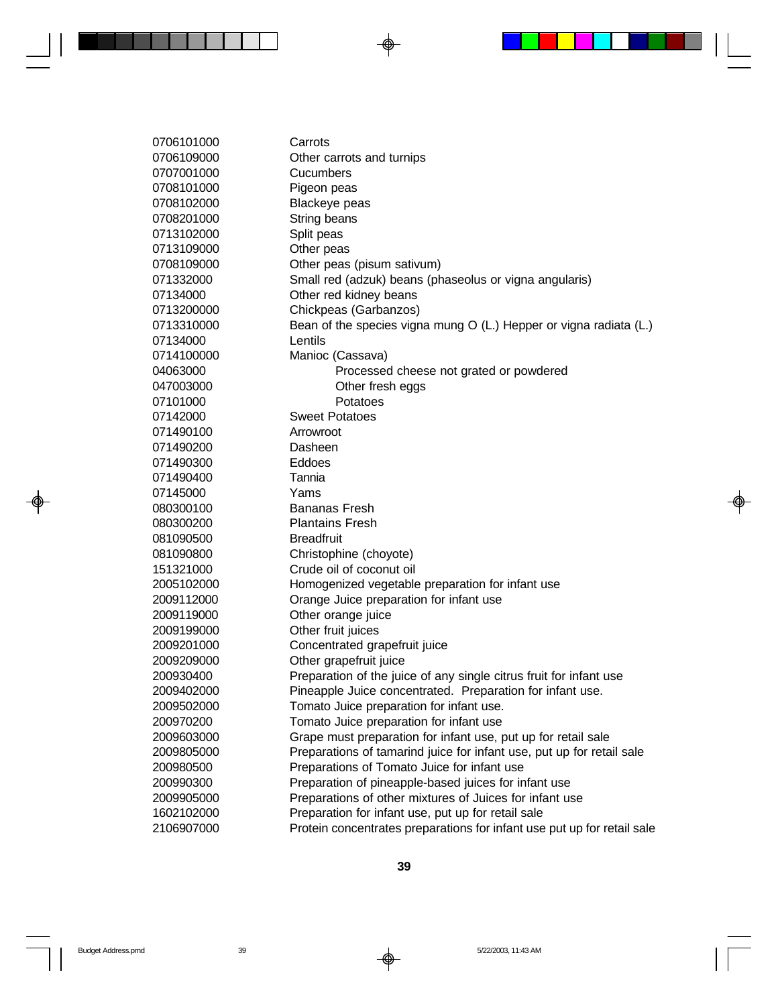Carrots Other carrots and turnips Cucumbers Pigeon peas Blackeye peas String beans Split peas 0713109000 Other peas Other peas (pisum sativum) Small red (adzuk) beans (phaseolus or vigna angularis) Other red kidney beans Chickpeas (Garbanzos) Bean of the species vigna mung O (L.) Hepper or vigna radiata (L.) Lentils Manioc (Cassava) Processed cheese not grated or powdered Other fresh eggs 07101000 Potatoes Sweet Potatoes Arrowroot Dasheen Eddoes Tannia Yams Bananas Fresh Plantains Fresh Breadfruit Christophine (choyote) Crude oil of coconut oil Homogenized vegetable preparation for infant use Orange Juice preparation for infant use Other orange juice Other fruit juices Concentrated grapefruit juice Other grapefruit juice Preparation of the juice of any single citrus fruit for infant use Pineapple Juice concentrated. Preparation for infant use. Tomato Juice preparation for infant use. Tomato Juice preparation for infant use Grape must preparation for infant use, put up for retail sale Preparations of tamarind juice for infant use, put up for retail sale Preparations of Tomato Juice for infant use Preparation of pineapple-based juices for infant use Preparations of other mixtures of Juices for infant use Preparation for infant use, put up for retail sale Protein concentrates preparations for infant use put up for retail sale